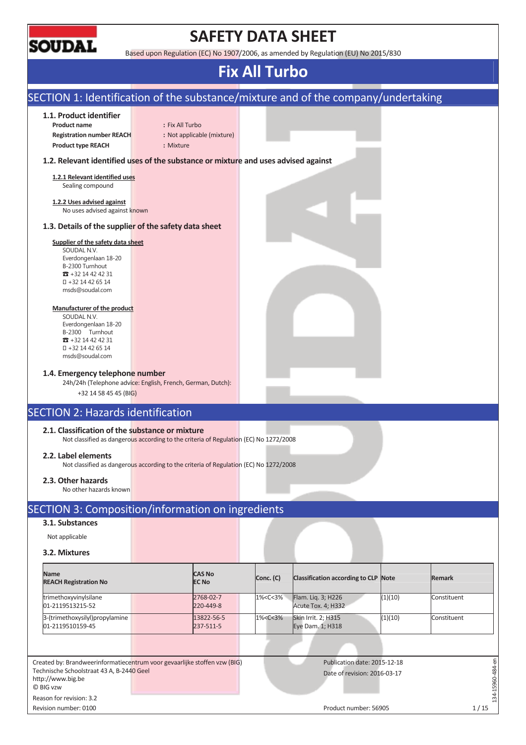

# **SAFETY DATA SHEET**

Based upon Regulation (EC) No 1907/2006, as amended by Regulation (EU) No 2015/830

## **Fix All Turbo**

| 1.1. Product identifier                                                                                                                  |                 |                               |                                                                                                                |                                          |         |               |
|------------------------------------------------------------------------------------------------------------------------------------------|-----------------|-------------------------------|----------------------------------------------------------------------------------------------------------------|------------------------------------------|---------|---------------|
| <b>Product name</b>                                                                                                                      | : Fix All Turbo |                               |                                                                                                                |                                          |         |               |
| <b>Registration number REACH</b>                                                                                                         |                 | : Not applicable (mixture)    |                                                                                                                |                                          |         |               |
| <b>Product type REACH</b>                                                                                                                | : Mixture       |                               |                                                                                                                |                                          |         |               |
| 1.2. Relevant identified uses of the substance or mixture and uses advised against                                                       |                 |                               |                                                                                                                |                                          |         |               |
| 1.2.1 Relevant identified uses                                                                                                           |                 |                               |                                                                                                                |                                          |         |               |
| Sealing compound                                                                                                                         |                 |                               |                                                                                                                |                                          |         |               |
| 1.2.2 Uses advised against                                                                                                               |                 |                               |                                                                                                                |                                          |         |               |
| No uses advised against known                                                                                                            |                 |                               |                                                                                                                |                                          |         |               |
| 1.3. Details of the supplier of the safety data sheet                                                                                    |                 |                               |                                                                                                                |                                          |         |               |
| Supplier of the safety data sheet                                                                                                        |                 |                               |                                                                                                                |                                          |         |               |
| SOUDAL N.V.<br>Everdongenlaan 18-20                                                                                                      |                 |                               |                                                                                                                |                                          |         |               |
| B-2300 Turnhout                                                                                                                          |                 |                               |                                                                                                                |                                          |         |               |
| $31 + 3214424231$<br>+32 14 42 65 14                                                                                                     |                 |                               |                                                                                                                |                                          |         |               |
| msds@soudal.com                                                                                                                          |                 |                               |                                                                                                                |                                          |         |               |
| Manufacturer of the product                                                                                                              |                 |                               |                                                                                                                |                                          |         |               |
| SOUDAL N.V.                                                                                                                              |                 |                               |                                                                                                                |                                          |         |               |
| Everdongenlaan 18-20                                                                                                                     |                 |                               |                                                                                                                |                                          |         |               |
| B-2300 Turnhout<br>$31 + 3214424231$                                                                                                     |                 |                               |                                                                                                                |                                          |         |               |
| +32 14 42 65 14<br>msds@soudal.com                                                                                                       |                 |                               |                                                                                                                |                                          |         |               |
| <b>SECTION 2: Hazards identification</b>                                                                                                 |                 |                               |                                                                                                                |                                          |         |               |
|                                                                                                                                          |                 |                               |                                                                                                                |                                          |         |               |
| 2.1. Classification of the substance or mixture<br>Not classified as dangerous according to the criteria of Regulation (EC) No 1272/2008 |                 |                               |                                                                                                                |                                          |         |               |
| 2.2. Label elements<br>Not classified as dangerous according to the criteria of Regulation (EC) No 1272/2008                             |                 |                               |                                                                                                                |                                          |         |               |
| 2.3. Other hazards<br>No other hazards known                                                                                             |                 |                               |                                                                                                                |                                          |         |               |
| SECTION 3: Composition/information on ingredients                                                                                        |                 |                               |                                                                                                                |                                          |         |               |
| 3.1. Substances                                                                                                                          |                 |                               |                                                                                                                |                                          |         |               |
| Not applicable                                                                                                                           |                 |                               |                                                                                                                |                                          |         |               |
| 3.2. Mixtures                                                                                                                            |                 |                               |                                                                                                                |                                          |         |               |
| Name<br><b>REACH Registration No</b>                                                                                                     |                 | <b>CAS No</b><br><b>EC No</b> | Conc. (C)                                                                                                      | Classification according to CLP Note     |         | <b>Remark</b> |
| trimethoxyvinylsilane<br>01-2119513215-52                                                                                                |                 | 2768-02-7<br>220-449-8        | 1% <c<3%< td=""><td>Flam. Liq. 3; H226<br/>Acute Tox. 4; H332</td><td>(1)(10)</td><td>Constituent</td></c<3%<> | Flam. Liq. 3; H226<br>Acute Tox. 4; H332 | (1)(10) | Constituent   |
| 3-(trimethoxysilyl)propylamine                                                                                                           |                 | 13822-56-5                    | 1% <c<3%< td=""><td><b>Skin Irrit. 2; H315</b></td><td>(1)(10)</td><td>Constituent</td></c<3%<>                | <b>Skin Irrit. 2; H315</b>               | (1)(10) | Constituent   |
| 01-2119510159-45                                                                                                                         |                 | 237-511-5                     |                                                                                                                | Eye Dam. 1; H318                         |         |               |
|                                                                                                                                          |                 |                               |                                                                                                                |                                          |         |               |
| Created by: Brandweerinformatiecentrum voor gevaarlijke stoffen vzw (BIG)<br>Technische Schoolstraat 43 A, B-2440 Geel                   |                 |                               |                                                                                                                | Publication date: 2015-12-18             |         |               |

Revision number: 0100 1/15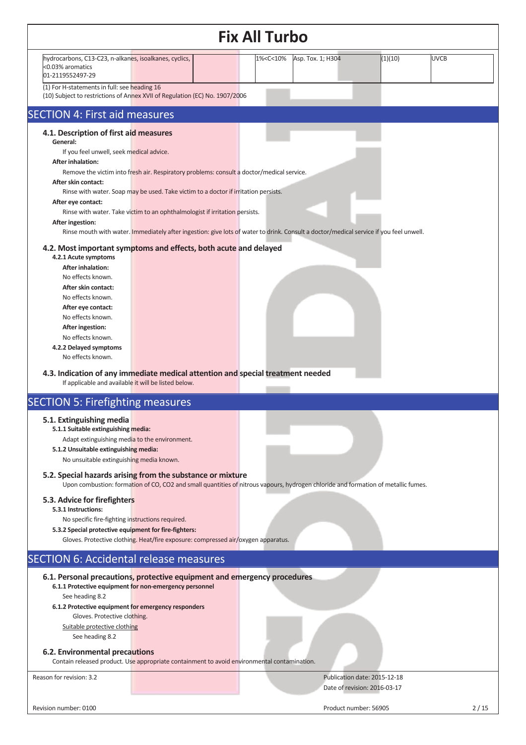|                                                                                                                                                                                                                                                                                                                                                                                                                                                                                                                                                                                                                                                                                                                                                                                                                                                                                                                                                                                                                                                                                 | <b>Fix All Turbo</b>                                                                     |                                                              |         |             |
|---------------------------------------------------------------------------------------------------------------------------------------------------------------------------------------------------------------------------------------------------------------------------------------------------------------------------------------------------------------------------------------------------------------------------------------------------------------------------------------------------------------------------------------------------------------------------------------------------------------------------------------------------------------------------------------------------------------------------------------------------------------------------------------------------------------------------------------------------------------------------------------------------------------------------------------------------------------------------------------------------------------------------------------------------------------------------------|------------------------------------------------------------------------------------------|--------------------------------------------------------------|---------|-------------|
| hydrocarbons, C13-C23, n-alkanes, isoalkanes, cyclics,<br><0.03% aromatics<br>01-2119552497-29                                                                                                                                                                                                                                                                                                                                                                                                                                                                                                                                                                                                                                                                                                                                                                                                                                                                                                                                                                                  | 1% <c<10%< td=""><td>Asp. Tox. 1; H304</td><td>(1)(10)</td><td><b>UVCB</b></td></c<10%<> | Asp. Tox. 1; H304                                            | (1)(10) | <b>UVCB</b> |
| (1) For H-statements in full: see heading 16<br>(10) Subject to restrictions of Annex XVII of Regulation (EC) No. 1907/2006                                                                                                                                                                                                                                                                                                                                                                                                                                                                                                                                                                                                                                                                                                                                                                                                                                                                                                                                                     |                                                                                          |                                                              |         |             |
| <b>SECTION 4: First aid measures</b>                                                                                                                                                                                                                                                                                                                                                                                                                                                                                                                                                                                                                                                                                                                                                                                                                                                                                                                                                                                                                                            |                                                                                          |                                                              |         |             |
| 4.1. Description of first aid measures<br>General:<br>If you feel unwell, seek medical advice.<br><b>After inhalation:</b><br>Remove the victim into fresh air. Respiratory problems: consult a doctor/medical service.<br>After skin contact:<br>Rinse with water. Soap may be used. Take victim to a doctor if irritation persists.<br>After eye contact:<br>Rinse with water. Take victim to an ophthalmologist if irritation persists.<br>After ingestion:<br>Rinse mouth with water. Immediately after ingestion: give lots of water to drink. Consult a doctor/medical service if you feel unwell.<br>4.2. Most important symptoms and effects, both acute and delayed<br>4.2.1 Acute symptoms<br><b>After inhalation:</b><br>No effects known.<br>After skin contact:<br>No effects known.<br>After eye contact:<br>No effects known.<br>After ingestion:<br>No effects known.<br>4.2.2 Delayed symptoms<br>No effects known.<br>4.3. Indication of any immediate medical attention and special treatment needed<br>If applicable and available it will be listed below. |                                                                                          |                                                              |         |             |
| <b>SECTION 5: Firefighting measures</b><br>5.1. Extinguishing media<br>5.1.1 Suitable extinguishing media:<br>Adapt extinguishing media to the environment.<br>5.1.2 Unsuitable extinguishing media:<br>No unsuitable extinguishing media known.<br>5.2. Special hazards arising from the substance or mixture<br>Upon combustion: formation of CO, CO2 and small quantities of nitrous vapours, hydrogen chloride and formation of metallic fumes.<br>5.3. Advice for firefighters<br>5.3.1 Instructions:<br>No specific fire-fighting instructions required.<br>5.3.2 Special protective equipment for fire-fighters:<br>Gloves. Protective clothing. Heat/fire exposure: compressed air/oxygen apparatus.                                                                                                                                                                                                                                                                                                                                                                    |                                                                                          |                                                              |         |             |
| <b>SECTION 6: Accidental release measures</b>                                                                                                                                                                                                                                                                                                                                                                                                                                                                                                                                                                                                                                                                                                                                                                                                                                                                                                                                                                                                                                   |                                                                                          |                                                              |         |             |
| 6.1. Personal precautions, protective equipment and emergency procedures<br>6.1.1 Protective equipment for non-emergency personnel<br>See heading 8.2<br>6.1.2 Protective equipment for emergency responders<br>Gloves. Protective clothing.<br>Suitable protective clothing<br>See heading 8.2<br>6.2. Environmental precautions<br>Contain released product. Use appropriate containment to avoid environmental contamination.                                                                                                                                                                                                                                                                                                                                                                                                                                                                                                                                                                                                                                                |                                                                                          |                                                              |         |             |
| Reason for revision: 3.2                                                                                                                                                                                                                                                                                                                                                                                                                                                                                                                                                                                                                                                                                                                                                                                                                                                                                                                                                                                                                                                        |                                                                                          | Publication date: 2015-12-18<br>Date of revision: 2016-03-17 |         |             |
| Revision number: 0100                                                                                                                                                                                                                                                                                                                                                                                                                                                                                                                                                                                                                                                                                                                                                                                                                                                                                                                                                                                                                                                           |                                                                                          | Product number: 56905                                        |         | 2/15        |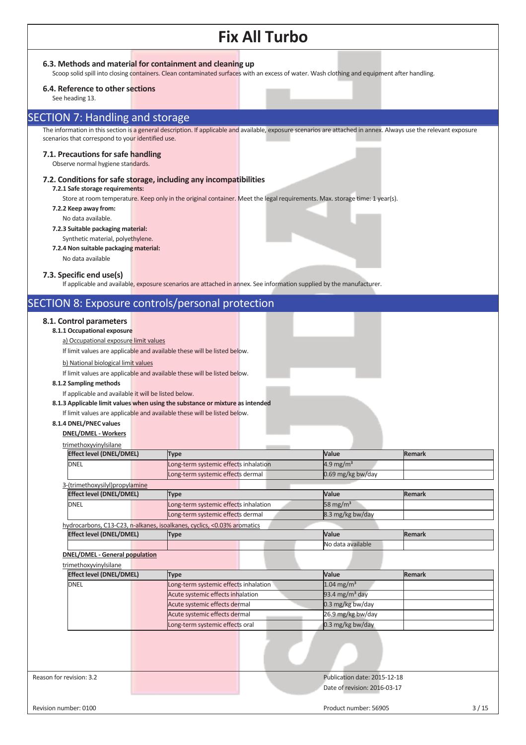#### **6.3. Methods and material for containment and cleaning up**

Scoop solid spill into closing containers. Clean contaminated surfaces with an excess of water. Wash clothing and equipment after handling.

#### **6.4. Reference to other sections**

See heading 13.

### SECTION 7: Handling and storage

The information in this section is a general description. If applicable and available, exposure scenarios are attached in annex. Always use the relevant exposure scenarios that correspond to your identified use.

#### **7.1. Precautions for safe handling**

Observe normal hygiene standards.

#### **7.2. Conditions for safe storage, including any incompatibilities**

#### **7.2.1 Safe storage requirements:**

Store at room temperature. Keep only in the original container. Meet the legal requirements. Max. storage time: 1 year(s).

- **7.2.2 Keep away from:** 
	- No data available.

### **7.2.3 Suitable packaging material:**

- Synthetic material, polyethylene.
- **7.2.4 Non suitable packaging material:**

## No data available

**7.3. Specific end use(s)** 

If applicable and available, exposure scenarios are attached in annex. See information supplied by the manufacturer.

## SECTION 8: Exposure controls/personal protection

#### **8.1. Control parameters**

**8.1.1 Occupational exposure** 

a) Occupational exposure limit values

If limit values are applicable and available these will be listed below.

b) National biological limit values

If limit values are applicable and available these will be listed below.

#### **8.1.2 Sampling methods**

If applicable and available it will be listed below.

**8.1.3 Applicable limit values when using the substance or mixture as intended**

### If limit values are applicable and available these will be listed below.

**8.1.4 DNEL/PNEC values** 

**DNEL/DMEL - Workers** 

| <b>Effect level (DNEL/DMEL)</b>                                | <b>Type</b>                                                             | Value                      | <b>Remark</b> |
|----------------------------------------------------------------|-------------------------------------------------------------------------|----------------------------|---------------|
| DNEL                                                           | Long-term systemic effects inhalation                                   | $4.9 \text{ mg/m}^3$       |               |
|                                                                | Long-term systemic effects dermal                                       | 0.69 mg/kg bw/day          |               |
| 3-(trimethoxysilyl)propylamine                                 |                                                                         |                            |               |
| <b>Effect level (DNEL/DMEL)</b>                                | <b>Type</b>                                                             | Value                      | <b>Remark</b> |
| DNEL                                                           | Long-term systemic effects inhalation                                   | 58 mg/ $m3$                |               |
|                                                                | Long-term systemic effects dermal                                       | 8.3 mg/kg bw/day           |               |
|                                                                | hydrocarbons, C13-C23, n-alkanes, isoalkanes, cyclics, <0.03% aromatics |                            |               |
| <b>Effect level (DNEL/DMEL)</b>                                | <b>Type</b>                                                             | Value                      | <b>Remark</b> |
|                                                                |                                                                         | No data available          |               |
| <b>DNEL/DMEL - General population</b><br>trimethoxyvinylsilane |                                                                         |                            |               |
| <b>Effect level (DNEL/DMEL)</b>                                | <b>Type</b>                                                             | Value                      | Remark        |
| DNEL                                                           | Long-term systemic effects inhalation                                   | $1.04 \text{ mg/m}^3$      |               |
|                                                                | Acute systemic effects inhalation                                       | 93.4 mg/m <sup>3</sup> day |               |
|                                                                |                                                                         |                            |               |
|                                                                | Acute systemic effects dermal                                           | 0.3 mg/kg bw/day           |               |
|                                                                | Acute systemic effects dermal                                           | 26.9 mg/kg bw/day          |               |
|                                                                | Long-term systemic effects oral                                         | 0.3 mg/kg bw/day           |               |
|                                                                |                                                                         |                            |               |

Date of revision: 2016-03-17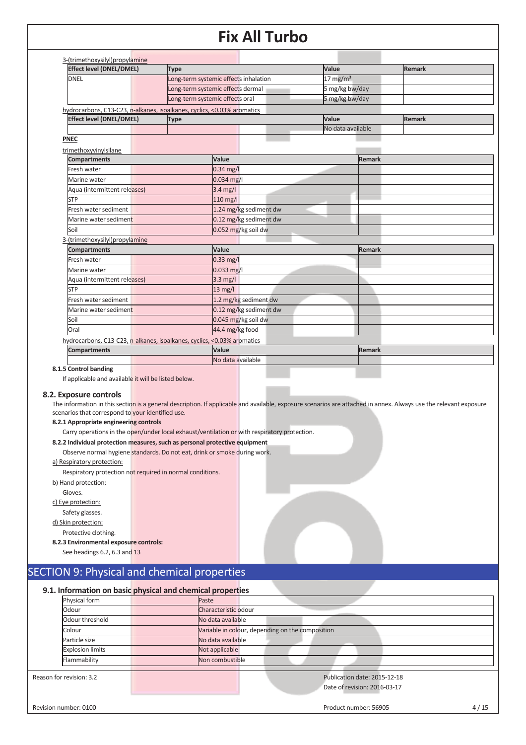| <b>DNEL</b><br>hydrocarbons, C13-C23, n-alkanes, isoalkanes, cyclics, <0.03% aromatics<br><b>Effect level (DNEL/DMEL)</b><br><b>PNEC</b><br>trimethoxyvinylsilane<br><b>Compartments</b><br>Fresh water<br>Marine water<br>Aqua (intermittent releases)<br><b>STP</b><br>Fresh water sediment<br>Marine water sediment<br>Soil<br>3-(trimethoxysilyl)propylamine | Long-term systemic effects inhalation<br>Long-term systemic effects dermal<br>Long-term systemic effects oral<br><b>Type</b><br>Value | $0.34$ mg/l<br>0.034 mg/l<br>3.4 mg/l<br>110 mg/l<br>1.24 mg/kg sediment dw<br>0.12 mg/kg sediment dw | $17 \text{ mg/m}^3$<br>5 mg/kg bw/day<br>5 mg/kg bw/day<br>Value | No data available<br>Remark | <b>Remark</b> |
|------------------------------------------------------------------------------------------------------------------------------------------------------------------------------------------------------------------------------------------------------------------------------------------------------------------------------------------------------------------|---------------------------------------------------------------------------------------------------------------------------------------|-------------------------------------------------------------------------------------------------------|------------------------------------------------------------------|-----------------------------|---------------|
|                                                                                                                                                                                                                                                                                                                                                                  |                                                                                                                                       |                                                                                                       |                                                                  |                             |               |
|                                                                                                                                                                                                                                                                                                                                                                  |                                                                                                                                       |                                                                                                       |                                                                  |                             |               |
|                                                                                                                                                                                                                                                                                                                                                                  |                                                                                                                                       |                                                                                                       |                                                                  |                             |               |
|                                                                                                                                                                                                                                                                                                                                                                  |                                                                                                                                       |                                                                                                       |                                                                  |                             |               |
|                                                                                                                                                                                                                                                                                                                                                                  |                                                                                                                                       |                                                                                                       |                                                                  |                             |               |
|                                                                                                                                                                                                                                                                                                                                                                  |                                                                                                                                       |                                                                                                       |                                                                  |                             |               |
|                                                                                                                                                                                                                                                                                                                                                                  |                                                                                                                                       |                                                                                                       |                                                                  |                             |               |
|                                                                                                                                                                                                                                                                                                                                                                  |                                                                                                                                       |                                                                                                       |                                                                  |                             |               |
|                                                                                                                                                                                                                                                                                                                                                                  |                                                                                                                                       |                                                                                                       |                                                                  |                             |               |
|                                                                                                                                                                                                                                                                                                                                                                  |                                                                                                                                       |                                                                                                       |                                                                  |                             |               |
|                                                                                                                                                                                                                                                                                                                                                                  |                                                                                                                                       |                                                                                                       |                                                                  |                             |               |
|                                                                                                                                                                                                                                                                                                                                                                  |                                                                                                                                       |                                                                                                       |                                                                  |                             |               |
|                                                                                                                                                                                                                                                                                                                                                                  |                                                                                                                                       |                                                                                                       |                                                                  |                             |               |
|                                                                                                                                                                                                                                                                                                                                                                  |                                                                                                                                       |                                                                                                       |                                                                  |                             |               |
|                                                                                                                                                                                                                                                                                                                                                                  |                                                                                                                                       |                                                                                                       |                                                                  |                             |               |
|                                                                                                                                                                                                                                                                                                                                                                  |                                                                                                                                       | 0.052 mg/kg soil dw                                                                                   |                                                                  |                             |               |
|                                                                                                                                                                                                                                                                                                                                                                  |                                                                                                                                       |                                                                                                       |                                                                  |                             |               |
| <b>Compartments</b>                                                                                                                                                                                                                                                                                                                                              | Value                                                                                                                                 |                                                                                                       |                                                                  | <b>Remark</b>               |               |
| Fresh water                                                                                                                                                                                                                                                                                                                                                      |                                                                                                                                       | $0.33$ mg/l                                                                                           |                                                                  |                             |               |
| Marine water                                                                                                                                                                                                                                                                                                                                                     |                                                                                                                                       | 0.033 mg/l                                                                                            |                                                                  |                             |               |
| Aqua (intermittent releases)                                                                                                                                                                                                                                                                                                                                     |                                                                                                                                       | $3.3$ mg/l                                                                                            |                                                                  |                             |               |
| <b>STP</b>                                                                                                                                                                                                                                                                                                                                                       |                                                                                                                                       | $13$ mg/l                                                                                             |                                                                  |                             |               |
| Fresh water sediment                                                                                                                                                                                                                                                                                                                                             |                                                                                                                                       | 1.2 mg/kg sediment dw                                                                                 |                                                                  |                             |               |
| Marine water sediment                                                                                                                                                                                                                                                                                                                                            |                                                                                                                                       | 0.12 mg/kg sediment dw                                                                                |                                                                  |                             |               |
| Soil                                                                                                                                                                                                                                                                                                                                                             |                                                                                                                                       | 0.045 mg/kg soil dw                                                                                   |                                                                  |                             |               |
| Oral                                                                                                                                                                                                                                                                                                                                                             |                                                                                                                                       | 44.4 mg/kg food                                                                                       |                                                                  |                             |               |
| hydrocarbons, C13-C23, n-alkanes, isoalkanes, cyclics, <0.03% aromatics                                                                                                                                                                                                                                                                                          |                                                                                                                                       |                                                                                                       |                                                                  |                             |               |
| <b>Compartments</b>                                                                                                                                                                                                                                                                                                                                              | Value                                                                                                                                 |                                                                                                       |                                                                  | <b>Remark</b>               |               |
| 8.1.5 Control banding                                                                                                                                                                                                                                                                                                                                            |                                                                                                                                       | No data available                                                                                     |                                                                  |                             |               |
| If applicable and available it will be listed below.                                                                                                                                                                                                                                                                                                             |                                                                                                                                       |                                                                                                       |                                                                  |                             |               |
| 8.2. Exposure controls                                                                                                                                                                                                                                                                                                                                           |                                                                                                                                       |                                                                                                       |                                                                  |                             |               |
| The information in this section is a general description. If applicable and available, exposure scenarios are attached in annex. Always use the relevant exposure                                                                                                                                                                                                |                                                                                                                                       |                                                                                                       |                                                                  |                             |               |
| scenarios that correspond to your identified use.                                                                                                                                                                                                                                                                                                                |                                                                                                                                       |                                                                                                       |                                                                  |                             |               |
| 8.2.1 Appropriate engineering controls                                                                                                                                                                                                                                                                                                                           |                                                                                                                                       |                                                                                                       |                                                                  |                             |               |
| Carry operations in the open/under local exhaust/ventilation or with respiratory protection.                                                                                                                                                                                                                                                                     |                                                                                                                                       |                                                                                                       |                                                                  |                             |               |
| 8.2.2 Individual protection measures, such as personal protective equipment                                                                                                                                                                                                                                                                                      |                                                                                                                                       |                                                                                                       |                                                                  |                             |               |
| Observe normal hygiene standards. Do not eat, drink or smoke during work.                                                                                                                                                                                                                                                                                        |                                                                                                                                       |                                                                                                       |                                                                  |                             |               |
| a) Respiratory protection:                                                                                                                                                                                                                                                                                                                                       |                                                                                                                                       |                                                                                                       |                                                                  |                             |               |
| Respiratory protection not required in normal conditions.                                                                                                                                                                                                                                                                                                        |                                                                                                                                       |                                                                                                       |                                                                  |                             |               |
| b) Hand protection:<br>Gloves.                                                                                                                                                                                                                                                                                                                                   |                                                                                                                                       |                                                                                                       |                                                                  |                             |               |

Safety glasses.

d) Skin protection:

Protective clothing.

**8.2.3 Environmental exposure controls:**

See headings 6.2, 6.3 and 13

## SECTION 9: Physical and chemical properties

### **9.1. Information on basic physical and chemical properties**

| Physical form            | Paste                |                                                              |
|--------------------------|----------------------|--------------------------------------------------------------|
| Odour                    | Characteristic odour |                                                              |
| Odour threshold          | No data available    |                                                              |
| Colour                   |                      | Variable in colour, depending on the composition             |
| Particle size            | No data available    |                                                              |
| <b>Explosion limits</b>  | Not applicable       |                                                              |
| Flammability             | Non combustible      |                                                              |
| Reason for revision: 3.2 |                      | Publication date: 2015-12-18<br>Date of revision: 2016-03-17 |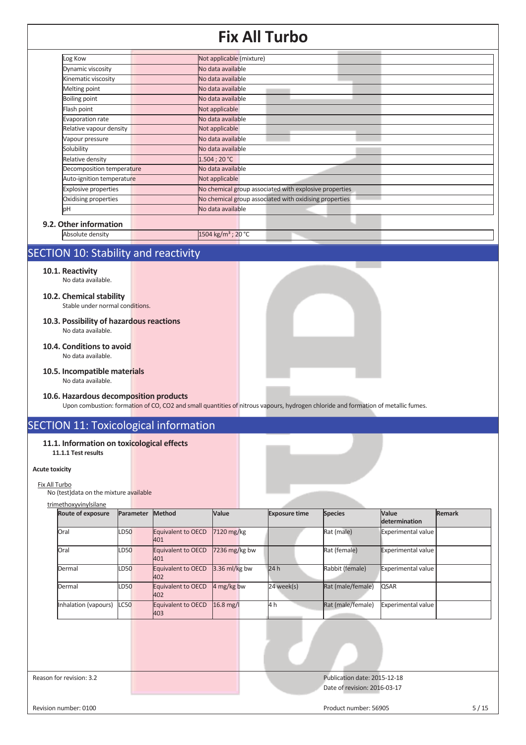| Log Kow                     | Not applicable (mixture)                               |
|-----------------------------|--------------------------------------------------------|
| Dynamic viscosity           | No data available                                      |
| Kinematic viscosity         | No data available                                      |
| Melting point               | No data available                                      |
| <b>Boiling point</b>        | No data available                                      |
| Flash point                 | Not applicable                                         |
| Evaporation rate            | No data available                                      |
| Relative vapour density     | Not applicable                                         |
| Vapour pressure             | No data available                                      |
| Solubility                  | No data available                                      |
| Relative density            | 1.504:20 °C                                            |
| Decomposition temperature   | No data available                                      |
| Auto-ignition temperature   | Not applicable                                         |
| <b>Explosive properties</b> | No chemical group associated with explosive properties |
| Oxidising properties        | No chemical group associated with oxidising properties |
| pH                          | No data available                                      |
| 9.2. Other information      |                                                        |
| Absolute density            | 1504 kg/m <sup>3</sup> ; 20 °C                         |

## SECTION 10: Stability and reactivity

- **10.1. Reactivity**
	- No data available.

#### **10.2. Chemical stability**

Stable under normal conditions.

- **10.3. Possibility of hazardous reactions**  No data available.
- **10.4. Conditions to avoid**  No data available.
- **10.5. Incompatible materials**  No data available.
- **10.6. Hazardous decomposition products**

Upon combustion: formation of CO, CO2 and small quantities of nitrous vapours, hydrogen chloride and formation of metallic fumes.

## SECTION 11: Toxicological information

#### **11.1. Information on toxicological effects 11.1.1 Test results**

#### **Acute toxicity**

Fix All Turbo No (test)data on the mixture available

#### trimethoxyvinylsilane

| Rat (male)<br>7120 mg/kg<br>Equivalent to OECD<br>LD50<br>Experimental value<br>Oral<br>401<br>Rat (female)<br>$7236$ mg/kg bw<br>Experimental value<br>Equivalent to OECD<br>Oral<br>LD50<br>401<br>$3.36$ ml/kg bw<br>24h<br>Rabbit (female)<br>Experimental value<br>Equivalent to OECD<br>LD50<br>Dermal |  |
|--------------------------------------------------------------------------------------------------------------------------------------------------------------------------------------------------------------------------------------------------------------------------------------------------------------|--|
|                                                                                                                                                                                                                                                                                                              |  |
|                                                                                                                                                                                                                                                                                                              |  |
| 402                                                                                                                                                                                                                                                                                                          |  |
| 4 mg/kg bw<br>24 week(s)<br>Rat (male/female)<br>QSAR<br>LD50<br>Equivalent to OECD<br>Dermal<br>402                                                                                                                                                                                                         |  |
| Rat (male/female)<br>$16.8$ mg/l<br>4 h<br>LC50<br><b>Experimental value</b><br>Inhalation (vapours)<br>Equivalent to OECD<br>403                                                                                                                                                                            |  |

Reason for revision: 3.2 Publication date: 2015-12-18 Date of revision: 2016-03-17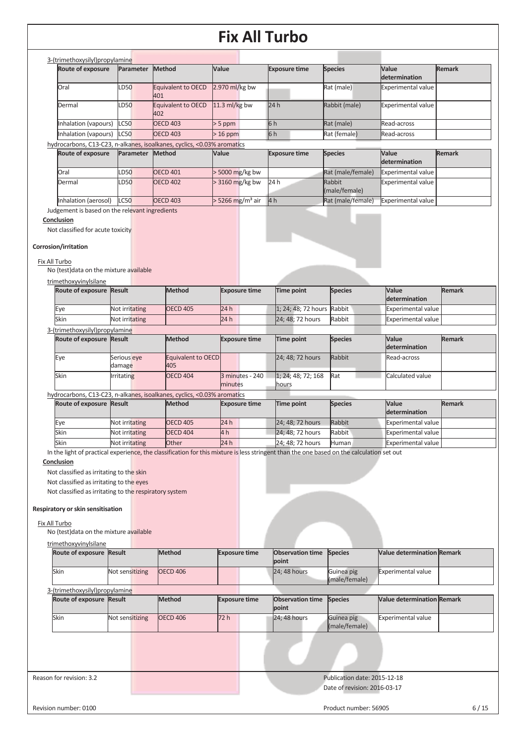| 3-(trimethoxysilyl)propylamine |                  |                  |                           |                  |                      |                |                           |               |
|--------------------------------|------------------|------------------|---------------------------|------------------|----------------------|----------------|---------------------------|---------------|
| <b>Route of exposure</b>       |                  | <b>Parameter</b> | Method                    | Value            | <b>Exposure time</b> | <b>Species</b> | Value<br>determination    | <b>Remark</b> |
| Oral                           | <b>D50</b>       |                  | Equivalent to OECD<br>401 | 2.970 $ml/kg$ bw |                      | Rat (male)     | <b>Experimental value</b> |               |
| Dermal                         | D <sub>50</sub>  |                  | Equivalent to OECD<br>402 | 11.3 $ml/kg$ bw  | 24h                  | Rabbit (male)  | <b>Experimental value</b> |               |
| Inhalation (vapours)           | <b>LC50</b>      |                  | <b>OECD 403</b>           | $> 5$ ppm        | 6h                   | Rat (male)     | Read-across               |               |
| Inhalation (vapours)           | $\mathsf{L}$ C50 |                  | <b>OECD 403</b>           | $>16$ ppm        | 6h                   | Rat (female)   | Read-across               |               |

### hydrocarbons, C13-C23, n-alkanes, isoalkanes, cyclics, <0.03% aromatics

| <b>Route of exposure</b> | <b>Parameter</b> | <b>Method</b>   | Value                          | <b>Exposure time</b> | <b>Species</b>          | <b>Value</b><br>determination | Remark |
|--------------------------|------------------|-----------------|--------------------------------|----------------------|-------------------------|-------------------------------|--------|
| Oral                     | LD50             | <b>OECD 401</b> | $>$ 5000 mg/kg bw              |                      | Rat (male/female)       | <b>Experimental value I</b>   |        |
| Dermal                   | LD50             | <b>OECD 402</b> | $>$ 3160 mg/kg bw              | 24 h                 | Rabbit<br>(male/female) | Experimental value            |        |
| Inhalation (aerosol)     | <b>LC50</b>      | <b>OECD 403</b> | $>$ 5266 mg/m <sup>3</sup> air | 4h                   | Rat (male/female)       | <b>Experimental value</b>     |        |

Judgement is based on the relevant ingredients

#### **Conclusion**

Not classified for acute toxicity

#### **Corrosion/irritation**

Fix All Turbo

No (test)data on the mixture available

#### trimethoxyvinylsilane

| <b>Route of exposure Result</b> |                | <b>Method</b>   | <b>Exposure time</b> | Time point                 | <b>Species</b> | <b>Value</b><br>determination | Remark |
|---------------------------------|----------------|-----------------|----------------------|----------------------------|----------------|-------------------------------|--------|
| Eye                             | Not irritating | <b>OECD 405</b> | 24 h                 | 1: 24: 48: 72 hours Rabbit |                | Experimental value            |        |
| Skin                            | Not irritating |                 | 24 h                 | 24: 48: 72 hours           | Rabbit         | <b>Experimental value</b>     |        |
| 3-(trimethoxysilyl) propylamine |                |                 |                      |                            |                |                               |        |

| Route of exposure Result |                       | <b>Method</b>             | <b>Exposure time</b> | Time point         | <b>Species</b> | Value<br>determination | <b>Remark</b> |
|--------------------------|-----------------------|---------------------------|----------------------|--------------------|----------------|------------------------|---------------|
| Eye                      | Serious eye<br>damage | Equivalent to OECD<br>405 |                      | 24: 48: 72 hours   | Rabbit         | Read-across            |               |
| Skin                     | <b>I</b> rritating    | OECD 404                  | 3 minutes - 240      | 1; 24; 48; 72; 168 | Rat            | Calculated value       |               |
|                          |                       |                           | minutes              | hours              |                |                        |               |

### hydrocarbons, C13-C23, n-alkanes, isoalkanes, cyclics, <0.03% aromatics

| <b>Route of exposure Result</b> |                | <b>Method</b> | <b>Exposure time</b> | Time point       | <b>Species</b> | Value<br><b>determination</b> | Remark |
|---------------------------------|----------------|---------------|----------------------|------------------|----------------|-------------------------------|--------|
| Eye                             | Not irritating | OECD 405      | 24 h                 | 24; 48; 72 hours | Rabbit         | <b>Experimental value</b>     |        |
| Skin                            | Not irritating | OECD 404      | 4 h                  | 24; 48; 72 hours | Rabbit         | Experimental value            |        |
| Skin                            | Not irritating | <b>Other</b>  | 24h                  | 24: 48: 72 hours | Human          | Experimental value            |        |

In the light of practical experience, the classification for this mixture is less stringent than the one based on the calculation set out

#### **Conclusion**

Not classified as irritating to the skin

Not classified as irritating to the eyes

Not classified as irritating to the respiratory system

#### **Respiratory or skin sensitisation**

Fix All Turbo

No (test)data on the mixture available

#### trimethoxyvinylsilane

| <b>Route of exposure Result</b> |                 | <b>Method</b> | <b>Exposure time</b> | <b>Observation time Species</b><br><b>point</b> |                             | <b>Nalue determination Remark</b> |  |
|---------------------------------|-----------------|---------------|----------------------|-------------------------------------------------|-----------------------------|-----------------------------------|--|
| Skin                            | Not sensitizing | OECD 406      |                      | $24:48$ hours                                   | Guinea pig<br>(male/female) | <b>Experimental value</b>         |  |

| 3-(trimethoxysilyl)propylamine  |                 |               |                      |                                                 |                             |                                   |  |
|---------------------------------|-----------------|---------------|----------------------|-------------------------------------------------|-----------------------------|-----------------------------------|--|
| <b>Route of exposure Result</b> |                 | <b>Method</b> | <b>Exposure time</b> | <b>Observation time Species</b><br><b>point</b> |                             | <b>Value determination Remark</b> |  |
| Skin                            | Not sensitizing | OECD 406      | 72h                  | <b>24:48 hours</b>                              | Guinea pig<br>(male/female) | <b>Experimental value</b>         |  |

### Reason for revision: 3.2 Publication date: 2015-12-18 Date of revision: 2016-03-17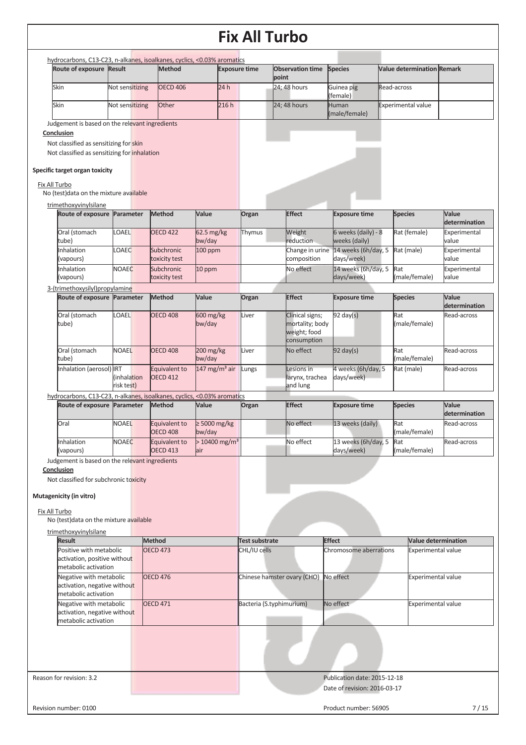| Route of exposure Result                                                                                     |                           |                                  | hydrocarbons, C13-C23, n-alkanes, isoalkanes, cyclics, <0.03% aromatics |                          |                                  |                                   |                                   |                               |
|--------------------------------------------------------------------------------------------------------------|---------------------------|----------------------------------|-------------------------------------------------------------------------|--------------------------|----------------------------------|-----------------------------------|-----------------------------------|-------------------------------|
|                                                                                                              |                           | <b>Method</b>                    |                                                                         | <b>Exposure time</b>     | <b>Observation time</b><br>point | <b>Species</b>                    | <b>Value determination Remark</b> |                               |
| Skin                                                                                                         | Not sensitizing           | <b>OECD 406</b>                  | 24h                                                                     |                          | 24; 48 hours                     | Guinea pig<br>(female)            | Read-across                       |                               |
| Skin                                                                                                         | Not sensitizing           | Other                            | 216h                                                                    |                          | 24; 48 hours                     | Human<br>(male/female)            | <b>Experimental value</b>         |                               |
| Judgement is based on the relevant ingredients                                                               |                           |                                  |                                                                         |                          |                                  |                                   |                                   |                               |
| Conclusion                                                                                                   |                           |                                  |                                                                         |                          |                                  |                                   |                                   |                               |
| Not classified as sensitizing for skin                                                                       |                           |                                  |                                                                         |                          |                                  |                                   |                                   |                               |
| Not classified as sensitizing for inhalation                                                                 |                           |                                  |                                                                         |                          |                                  |                                   |                                   |                               |
| Specific target organ toxicity<br>Fix All Turbo                                                              |                           |                                  |                                                                         |                          |                                  |                                   |                                   |                               |
| No (test) data on the mixture available                                                                      |                           |                                  |                                                                         |                          |                                  |                                   |                                   |                               |
| trimethoxyvinylsilane                                                                                        |                           |                                  |                                                                         |                          |                                  |                                   |                                   |                               |
| Route of exposure                                                                                            | Parameter                 | <b>Method</b>                    | Value                                                                   | Organ                    | <b>Effect</b>                    | <b>Exposure time</b>              | <b>Species</b>                    | Value<br>determination        |
| Oral (stomach                                                                                                | <b>OAEL</b>               | <b>OECD 422</b>                  | $62.5$ mg/kg                                                            | Thymus                   | Weight                           | 6 weeks (daily) - 8               | Rat (female)                      | Experimental                  |
| tube)                                                                                                        |                           |                                  | bw/day                                                                  |                          | reduction                        | weeks (daily)                     |                                   | value                         |
| Inhalation<br>(vapours)                                                                                      | OAEC                      | Subchronic<br>toxicity test      | 100 ppm                                                                 |                          | Change in urine<br>composition   | 14 weeks (6h/day, 5<br>days/week) | Rat (male)                        | Experimental<br>value         |
| Inhalation                                                                                                   | <b>NOAEC</b>              | Subchronic                       | 10 ppm                                                                  |                          | No effect                        | 14 weeks (6h/day, 5               | Rat                               | Experimental                  |
| (vapours)                                                                                                    |                           | toxicity test                    |                                                                         |                          |                                  | days/week)                        | (male/female)                     | value                         |
| 3-(trimethoxysilyl)propylamine                                                                               |                           |                                  |                                                                         |                          |                                  |                                   |                                   |                               |
| Route of exposure Parameter                                                                                  |                           | Method                           | Value                                                                   | Organ                    | <b>Effect</b>                    | <b>Exposure time</b>              | <b>Species</b>                    | <b>Value</b><br>determination |
| Oral (stomach                                                                                                | <b>OAEL</b>               | <b>OECD 408</b>                  | 600 mg/kg                                                               | Liver                    | Clinical signs;                  | $92 \text{ day}(s)$               | Rat                               | Read-across                   |
| tube)                                                                                                        |                           |                                  | bw/day                                                                  |                          | mortality; body                  |                                   | (male/female)                     |                               |
|                                                                                                              |                           |                                  |                                                                         |                          | weight; food<br>consumption      |                                   |                                   |                               |
| Oral (stomach                                                                                                | <b>NOAEL</b>              | <b>OECD 408</b>                  | 200 mg/kg                                                               | Liver                    | No effect                        | $92$ day(s)                       | Rat                               | Read-across                   |
| tube)                                                                                                        |                           |                                  | bw/day                                                                  |                          |                                  |                                   | (male/female)                     |                               |
| Inhalation (aerosol) IRT                                                                                     |                           | Equivalent to                    | 147 mg/m <sup>3</sup> air                                               | Lungs                    | Lesions in                       | 4 weeks (6h/day, 5                | Rat (male)                        | Read-across                   |
|                                                                                                              | (inhalation<br>risk test) | <b>OECD 412</b>                  |                                                                         |                          | larynx, trachea<br>and lung      | days/week)                        |                                   |                               |
| hydrocarbons, C13-C23, n-alkanes, isoalkanes, cyclics, <0.03% aromatics                                      |                           |                                  |                                                                         |                          |                                  |                                   |                                   |                               |
| Route of exposure                                                                                            | Parameter                 | Method                           | Value                                                                   | Organ                    | <b>Effect</b>                    | <b>Exposure time</b>              | <b>Species</b>                    | Value                         |
|                                                                                                              |                           |                                  |                                                                         |                          |                                  |                                   |                                   | determination                 |
| Oral                                                                                                         | <b>NOAEL</b>              | Equivalent to<br><b>OECD 408</b> | $\geq 5000$ mg/kg<br>bw/day                                             |                          | No effect                        | 13 weeks (daily)                  | Rat<br>(male/female)              | Read-across                   |
| Inhalation                                                                                                   | <b>NOAEC</b>              | Equivalent to                    | $>$ 10400 mg/m <sup>3</sup>                                             |                          | No effect                        | 13 weeks (6h/day, 5               | Rat                               | Read-across                   |
| (vapours)                                                                                                    |                           | <b>OECD 413</b>                  | air                                                                     |                          |                                  | days/week)                        | (male/female)                     |                               |
| Judgement is based on the relevant ingredients                                                               |                           |                                  |                                                                         |                          |                                  |                                   |                                   |                               |
| Conclusion                                                                                                   |                           |                                  |                                                                         |                          |                                  |                                   |                                   |                               |
| Not classified for subchronic toxicity                                                                       |                           |                                  |                                                                         |                          |                                  |                                   |                                   |                               |
|                                                                                                              |                           |                                  |                                                                         |                          |                                  |                                   |                                   |                               |
|                                                                                                              |                           |                                  |                                                                         |                          |                                  |                                   |                                   |                               |
|                                                                                                              |                           |                                  |                                                                         |                          |                                  |                                   |                                   |                               |
|                                                                                                              |                           |                                  |                                                                         |                          |                                  |                                   |                                   |                               |
|                                                                                                              |                           |                                  |                                                                         |                          |                                  |                                   |                                   |                               |
| <b>Result</b>                                                                                                |                           | <b>Method</b>                    |                                                                         | Test substrate           |                                  | <b>Effect</b>                     | <b>Value determination</b>        |                               |
| Positive with metabolic                                                                                      |                           | <b>OECD 473</b>                  |                                                                         | CHL/IU cells             |                                  | Chromosome aberrations            | <b>Experimental value</b>         |                               |
| activation, positive without                                                                                 |                           |                                  |                                                                         |                          |                                  |                                   |                                   |                               |
| metabolic activation<br>Negative with metabolic                                                              |                           | <b>OECD 476</b>                  |                                                                         |                          |                                  | No effect                         |                                   |                               |
| activation, negative without                                                                                 |                           |                                  |                                                                         |                          | Chinese hamster ovary (CHO)      |                                   | Experimental value                |                               |
| metabolic activation                                                                                         |                           |                                  |                                                                         |                          |                                  |                                   |                                   |                               |
| Negative with metabolic                                                                                      |                           | <b>OECD 471</b>                  |                                                                         | Bacteria (S.typhimurium) |                                  | No effect                         | <b>Experimental value</b>         |                               |
| activation, negative without<br>metabolic activation                                                         |                           |                                  |                                                                         |                          |                                  |                                   |                                   |                               |
|                                                                                                              |                           |                                  |                                                                         |                          |                                  |                                   |                                   |                               |
| Mutagenicity (in vitro)<br>Fix All Turbo<br>No (test) data on the mixture available<br>trimethoxyvinylsilane |                           |                                  |                                                                         |                          |                                  |                                   |                                   |                               |
|                                                                                                              |                           |                                  |                                                                         |                          |                                  |                                   |                                   |                               |
|                                                                                                              |                           |                                  |                                                                         |                          |                                  |                                   |                                   |                               |
|                                                                                                              |                           |                                  |                                                                         |                          |                                  |                                   |                                   |                               |
| Reason for revision: 3.2                                                                                     |                           |                                  |                                                                         |                          |                                  | Publication date: 2015-12-18      |                                   |                               |
|                                                                                                              |                           |                                  |                                                                         |                          |                                  | Date of revision: 2016-03-17      |                                   |                               |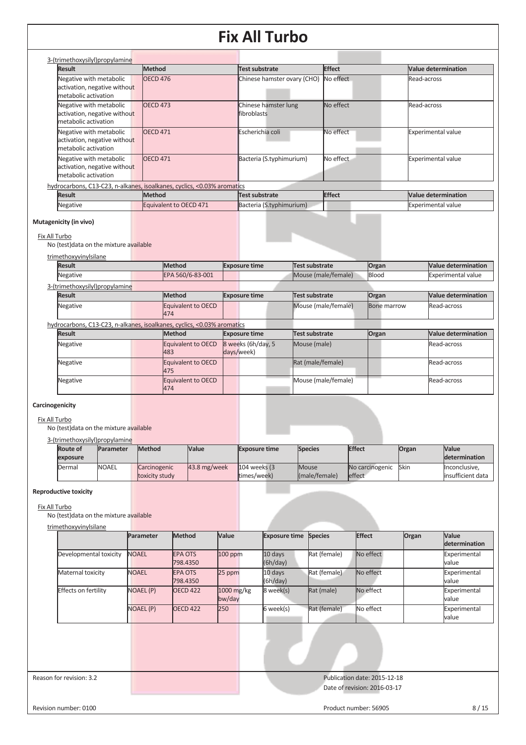| 3-(trimethoxysilyl)propylamine                                                  |                                                                         |                                            |               |                            |
|---------------------------------------------------------------------------------|-------------------------------------------------------------------------|--------------------------------------------|---------------|----------------------------|
| <b>Result</b>                                                                   | <b>Method</b>                                                           | Test substrate                             | <b>Effect</b> | <b>Value determination</b> |
| Negative with metabolic<br>activation, negative without<br>metabolic activation | <b>OECD 476</b>                                                         | Chinese hamster ovary (CHO)                | No effect     | Read-across                |
| Negative with metabolic<br>activation, negative without<br>metabolic activation | <b>OECD 473</b>                                                         | Chinese hamster lung<br><b>fibroblasts</b> | No effect     | Read-across                |
| Negative with metabolic<br>activation, negative without<br>metabolic activation | <b>OECD 471</b>                                                         | Escherichia coli                           | No effect     | <b>Experimental value</b>  |
| Negative with metabolic<br>activation, negative without<br>metabolic activation | <b>OECD 471</b>                                                         | Bacteria (S.typhimurium)                   | No effect     | <b>Experimental value</b>  |
|                                                                                 | hydrocarbons, C13-C23, n-alkanes, isoalkanes, cyclics, <0.03% aromatics |                                            |               |                            |
| <b>Result</b>                                                                   | <b>Method</b>                                                           | Test substrate                             | <b>Effect</b> | Value determination        |
| Negative                                                                        | Equivalent to OECD 471                                                  | Bacteria (S.typhimurium)                   |               | <b>Experimental value</b>  |

### **Mutagenicity (in vivo)**

#### Fix All Turbo

No (test)data on the mixture available

### trimethoxyvinylsilane

| <b>Result</b>                                                           | Method                    | <b>Exposure time</b>             | <b>Test substrate</b> | Organ              | <b>Value determination</b> |
|-------------------------------------------------------------------------|---------------------------|----------------------------------|-----------------------|--------------------|----------------------------|
| Negative                                                                | EPA 560/6-83-001          |                                  | Mouse (male/female)   | Blood              | <b>Experimental value</b>  |
| 3-(trimethoxysilyl)propylamine                                          |                           |                                  |                       |                    |                            |
| <b>Result</b>                                                           | <b>Method</b>             | <b>Exposure time</b>             | <b>Test substrate</b> | Organ              | <b>Value determination</b> |
| <b>Negative</b>                                                         | Equivalent to OECD<br>474 |                                  | Mouse (male/female)   | <b>Bone marrow</b> | Read-across                |
| hydrocarbons, C13-C23, n-alkanes, isoalkanes, cyclics, <0.03% aromatics |                           |                                  |                       |                    |                            |
| <b>Result</b>                                                           | <b>Method</b>             | <b>Exposure time</b>             | <b>Test substrate</b> | Organ              | <b>Value determination</b> |
| Negative                                                                | Equivalent to OECD<br>483 | 8 weeks (6h/day, 5<br>days/week) | Mouse (male)          |                    | Read-across                |
| Negative                                                                | Equivalent to OECD<br>475 |                                  | Rat (male/female)     |                    | Read-across                |
| Negative                                                                | Equivalent to OECD<br>474 |                                  | Mouse (male/female)   |                    | Read-across                |

### **Carcinogenicity**

Fix All Turbo

No (test)data on the mixture available

3-(trimethoxysilyl)propylamine

| <b>Route of</b> |                                                                            |                                                 |                                |                                                      |                                                 |                                             | <b>Value</b>      |
|-----------------|----------------------------------------------------------------------------|-------------------------------------------------|--------------------------------|------------------------------------------------------|-------------------------------------------------|---------------------------------------------|-------------------|
| exposure        |                                                                            |                                                 |                                |                                                      |                                                 |                                             | determination     |
| Dermal          |                                                                            |                                                 |                                |                                                      |                                                 |                                             | Inconclusive.     |
|                 |                                                                            |                                                 |                                |                                                      |                                                 |                                             | insufficient data |
|                 | <u>UUTIILLUVAVUIVIJAI UPVIDITIILLU</u><br><b>Parameter</b><br><b>NOAEL</b> | <b>Method</b><br>Carcinogenic<br>toxicity study | <b>Value</b><br>$43.8$ mg/week | <b>Exposure time</b><br>104 weeks (3)<br>times/week) | <b>Species</b><br><b>Mouse</b><br>(male/female) | <b>Effect</b><br>No carcinogenic<br>leffect | Organ<br>Skin     |

#### **Reproductive toxicity**

Fix All Turbo

No (test)data on the mixture available

trimethoxyvinylsilane

|                        | Parameter        | <b>Method</b>              | Value                  | <b>Exposure time Species</b> |              | <b>Effect</b> | Organ | Value<br>determination |
|------------------------|------------------|----------------------------|------------------------|------------------------------|--------------|---------------|-------|------------------------|
| Developmental toxicity | <b>NOAEL</b>     | <b>EPA OTS</b><br>798.4350 | $100$ ppm              | 10 days<br>(6h/day)          | Rat (female) | No effect     |       | Experimental<br>value  |
| Maternal toxicity      | <b>NOAEL</b>     | <b>EPA OTS</b><br>798.4350 | 25 ppm                 | 10 days<br>(6h/day)          | Rat (female) | No effect     |       | Experimental<br>value  |
| Effects on fertility   | <b>NOAEL (P)</b> | <b>OECD 422</b>            | $1000$ mg/kg<br>bw/day | 8 week(s)                    | Rat (male)   | No effect     |       | Experimental<br>value  |
|                        | <b>NOAEL (P)</b> | <b>OECD 422</b>            | 250                    | 6 week(s)                    | Rat (female) | No effect     |       | Experimental<br>value  |
|                        |                  |                            |                        |                              |              |               |       |                        |

Reason for revision: 3.2 Publication date: 2015-12-18 Date of revision: 2016-03-17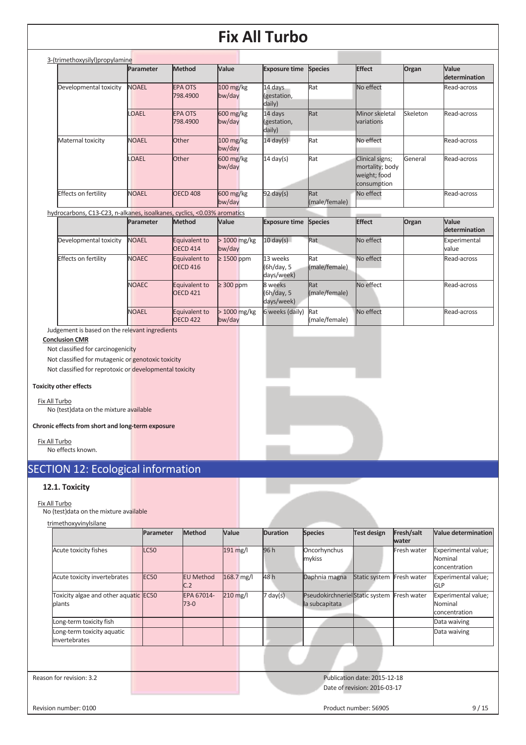| 3-(trimethoxysilyl) propylamine |              |                            |                                             |                                  |                      |                                                                   |          |                               |
|---------------------------------|--------------|----------------------------|---------------------------------------------|----------------------------------|----------------------|-------------------------------------------------------------------|----------|-------------------------------|
|                                 | Parameter    | <b>Method</b>              | <b>Value</b>                                | <b>Exposure time</b>             | <b>Species</b>       | <b>Effect</b>                                                     | Organ    | Value<br><b>determination</b> |
| Developmental toxicity          | <b>NOAEL</b> | <b>EPA OTS</b><br>798.4900 | $100$ mg/kg<br>bw/day                       | 14 days<br>(gestation,<br>daily) | Rat                  | No effect                                                         |          | Read-across                   |
|                                 | OAEL         | <b>EPA OTS</b><br>798.4900 | 600 mg/kg<br>bw/day                         | 14 days<br>(gestation,<br>daily) | Rat                  | Minor skeletal<br>variations                                      | Skeleton | Read-across                   |
| Maternal toxicity               | <b>NOAEL</b> | <b>Other</b>               | $100 \text{ mg/kg}$<br>bw/day               | $14 \text{ day(s)}$              | Rat                  | No effect                                                         |          | Read-across                   |
|                                 | OAEL         | <b>Other</b>               | $600 \frac{\text{mg}}{\text{kg}}$<br>bw/day | $14 \text{ day(s)}$              | Rat                  | Clinical signs;<br>mortality; body<br>weight; food<br>consumption | General  | Read-across                   |
| <b>Effects on fertility</b>     | <b>NOAEL</b> | <b>OECD 408</b>            | 600 mg/kg<br>bw/day                         | $92 \text{ day}(s)$              | Rat<br>(male/female) | No effect                                                         |          | Read-across                   |

hydrocarbons, C13-C23, n-alkanes, isoalkanes, cyclics, <0.03% aromatics

|                        | Parameter    | <b>Method</b>                    | Value                   | <b>Exposure time</b>                 | <b>Species</b>       | <b>Effect</b> | Organ | Value<br>determination |
|------------------------|--------------|----------------------------------|-------------------------|--------------------------------------|----------------------|---------------|-------|------------------------|
| Developmental toxicity | <b>NOAEL</b> | Equivalent to<br><b>OECD 414</b> | $>1000$ mg/kg<br>bw/day | $10 \text{ day(s)}$                  | Rat                  | No effect     |       | Experimental<br>value  |
| Effects on fertility   | <b>NOAEC</b> | Equivalent to<br><b>OECD 416</b> | $\geq$ 1500 ppm         | 13 weeks<br>(6h/day, 5<br>days/week) | Rat<br>(male/female) | No effect     |       | Read-across            |
|                        | <b>NOAEC</b> | Equivalent to<br><b>OECD 421</b> | $\geq$ 300 ppm          | 8 weeks<br>(6h/day, 5<br>days/week)  | Rat<br>(male/female) | No effect     |       | Read-across            |
|                        | <b>NOAEL</b> | Equivalent to<br><b>OECD 422</b> | $>1000$ mg/kg<br>bw/day | 6 weeks (daily)                      | Rat<br>(male/female) | No effect     |       | Read-across            |

Judgement is based on the relevant ingredients

**Conclusion CMR** 

Not classified for carcinogenicity

Not classified for mutagenic or genotoxic toxicity

Not classified for reprotoxic or developmental toxicity

#### **Toxicity other effects**

Fix All Turbo No (test)data on the mixture available

**Chronic effects from short and long-term exposure** 

Fix All Turbo No effects known.

## SECTION 12: Ecological information

### **12.1. Toxicity**

Fix All Turbo

No (test)data on the mixture available

|                                                 | Parameter   | Method                  | Value      | <b>Duration</b>    | <b>Species</b>                                   | <b>Test design</b>                                           | Fresh/salt<br>water | Value determination                             |
|-------------------------------------------------|-------------|-------------------------|------------|--------------------|--------------------------------------------------|--------------------------------------------------------------|---------------------|-------------------------------------------------|
| Acute toxicity fishes                           | <b>LC50</b> |                         | 191 mg/l   | 96 h               | Oncorhynchus<br>mykiss                           |                                                              | Fresh water         | Experimental value;<br>Nominal<br>concentration |
| Acute toxicity invertebrates                    | <b>EC50</b> | <b>EU Method</b><br>C.2 | 168.7 mg/l | 48 h               | Daphnia magna                                    | Static system                                                | Fresh water         | Experimental value;<br><b>GLP</b>               |
| Toxicity algae and other aquatic EC50<br>plants |             | EPA 67014-<br>$73-0$    | $210$ mg/l | $7 \text{ day}(s)$ | PseudokirchnerielStatic system<br>la subcapitata |                                                              | Fresh water         | Experimental value;<br>Nominal<br>concentration |
| Long-term toxicity fish                         |             |                         |            |                    |                                                  |                                                              |                     | Data waiving                                    |
| Long-term toxicity aquatic<br>invertebrates     |             |                         |            |                    |                                                  |                                                              |                     | Data waiving                                    |
|                                                 |             |                         |            |                    |                                                  |                                                              |                     |                                                 |
| Reason for revision: 3.2                        |             |                         |            |                    |                                                  | Publication date: 2015-12-18<br>Date of revision: 2016-03-17 |                     |                                                 |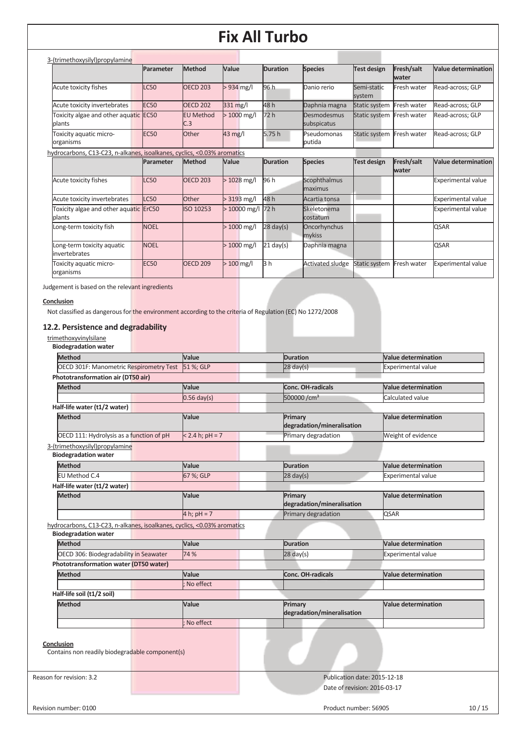| 3-(trimethoxysilyl)propylamine                                          |             |                         |               |                     |                                |                           |                     |                            |
|-------------------------------------------------------------------------|-------------|-------------------------|---------------|---------------------|--------------------------------|---------------------------|---------------------|----------------------------|
|                                                                         | Parameter   | Method                  | Value         | <b>Duration</b>     | <b>Species</b>                 | <b>Test design</b>        | Fresh/salt<br>water | <b>Value determination</b> |
| Acute toxicity fishes                                                   | <b>LC50</b> | <b>OECD 203</b>         | $> 934$ mg/l  | 96 h                | Danio rerio                    | Semi-static<br>system     | Fresh water         | Read-across; GLP           |
| Acute toxicity invertebrates                                            | <b>EC50</b> | <b>OECD 202</b>         | 331 mg/l      | 48h                 | Daphnia magna                  | Static system             | Fresh water         | Read-across: GLP           |
| Toxicity algae and other aquatic<br>plants                              | <b>EC50</b> | <b>EU Method</b><br>C.3 | $>1000$ mg/l  | 72 h                | Desmodesmus<br>subspicatus     | Static system Fresh water |                     | Read-across; GLP           |
| Toxicity aquatic micro-<br>organisms                                    | <b>EC50</b> | Other                   | 43 mg/l       | 5.75h               | Pseudomonas<br>putida          | Static system             | Fresh water         | Read-across; GLP           |
| hydrocarbons, C13-C23, n-alkanes, isoalkanes, cyclics, <0.03% aromatics |             |                         |               |                     |                                |                           |                     |                            |
|                                                                         | Parameter   | <b>Method</b>           | Value         | <b>Duration</b>     | <b>Species</b>                 | <b>Test design</b>        | Fresh/salt<br>water | <b>Value determination</b> |
| Acute toxicity fishes                                                   | <b>LC50</b> | <b>OECD 203</b>         | $>1028$ mg/l  | 96 h                | <b>Scophthalmus</b><br>maximus |                           |                     | <b>Experimental value</b>  |
| Acute toxicity invertebrates                                            | <b>LC50</b> | Other                   | $> 3193$ mg/l | 48 h                | Acartia tonsa                  |                           |                     | <b>Experimental value</b>  |
| Toxicity algae and other aquatic ErC50<br>plants                        |             | ISO 10253               | $>10000$ mg/l | 72 h                | Skeletonema<br>costatum        |                           |                     | <b>Experimental value</b>  |
| Long-term toxicity fish                                                 | <b>NOEL</b> |                         | $>1000$ mg/l  | $28 \text{ day}(s)$ | Oncorhynchus<br>mykiss         |                           |                     | <b>QSAR</b>                |
| Long-term toxicity aquatic<br>invertebrates                             | <b>NOEL</b> |                         | $>1000$ mg/l  | $21$ day(s)         | Daphnia magna                  |                           |                     | <b>QSAR</b>                |
| Toxicity aquatic micro-<br>organisms                                    | <b>EC50</b> | <b>OECD 209</b>         | $>100$ mg/l   | 3h                  | <b>Activated sludge</b>        | <b>Static system</b>      | Fresh water         | <b>Experimental value</b>  |

Judgement is based on the relevant ingredients

### **Conclusion**

Not classified as dangerous for the environment according to the criteria of Regulation (EC) No 1272/2008

### **12.2. Persistence and degradability**

| <b>Method</b>                                                           | Value             | <b>Duration</b>                       | <b>Value determination</b> |
|-------------------------------------------------------------------------|-------------------|---------------------------------------|----------------------------|
| OECD 301F: Manometric Respirometry Test                                 | 51 %: GLP         | $28$ day(s)                           | Experimental value         |
| Phototransformation air (DT50 air)                                      |                   |                                       |                            |
| <b>Method</b>                                                           | Value             | <b>Conc. OH-radicals</b>              | <b>Value determination</b> |
|                                                                         | $0.56$ day(s)     | 500000/cm <sup>3</sup>                | Calculated value           |
| Half-life water (t1/2 water)                                            |                   |                                       |                            |
| <b>Method</b>                                                           | Value             | Primary<br>degradation/mineralisation | <b>Value determination</b> |
| OECD 111: Hydrolysis as a function of pH                                | $< 2.4 h; pH = 7$ | Primary degradation                   | Weight of evidence         |
| 3-(trimethoxysilyl)propylamine<br><b>Biodegradation water</b>           |                   |                                       |                            |
| <b>Method</b>                                                           | Value             | <b>Duration</b>                       | <b>Value determination</b> |
| EU Method C.4                                                           | 67 %; GLP         | $28 \text{ day(s)}$                   | <b>Experimental value</b>  |
| Half-life water (t1/2 water)                                            |                   |                                       |                            |
| <b>Method</b>                                                           | Value             | Primary<br>degradation/mineralisation | Value determination        |
|                                                                         | 4 h; $pH = 7$     | Primary degradation                   | <b>QSAR</b>                |
| hydrocarbons, C13-C23, n-alkanes, isoalkanes, cyclics, <0.03% aromatics |                   |                                       |                            |
| <b>Biodegradation water</b>                                             |                   |                                       |                            |
| <b>Method</b>                                                           | Value             | <b>Duration</b>                       | <b>Value determination</b> |
| OECD 306: Biodegradability in Seawater                                  | 74 %              | $28$ day(s)                           | Experimental value         |
| Phototransformation water (DT50 water)                                  |                   |                                       |                            |
| <b>Method</b>                                                           | Value             | Conc. OH-radicals                     | <b>Value determination</b> |
|                                                                         | No effect         |                                       |                            |
| Half-life soil (t1/2 soil)                                              |                   |                                       |                            |
| <b>Method</b>                                                           | Value             | Primary<br>degradation/mineralisation | <b>Value determination</b> |
|                                                                         | No effect         |                                       |                            |
| Conclusion                                                              |                   |                                       |                            |
| Contains non readily biodegradable component(s)                         |                   |                                       |                            |
| Reason for revision: 3.2                                                |                   | Publication date: 2015-12-18          |                            |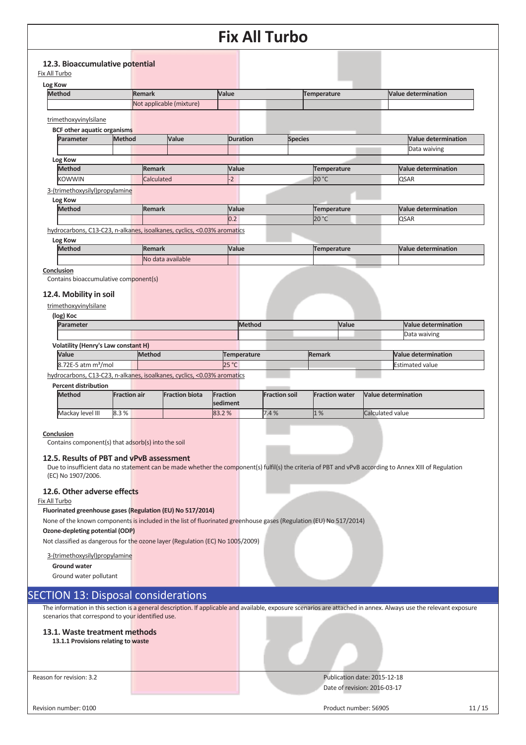|                                                                         |               |                          | I IA AII TULIVU |                |                            |
|-------------------------------------------------------------------------|---------------|--------------------------|-----------------|----------------|----------------------------|
|                                                                         |               |                          |                 |                |                            |
| 12.3. Bioaccumulative potential<br>Fix All Turbo                        |               |                          |                 |                |                            |
| Log Kow                                                                 |               |                          |                 |                |                            |
| <b>Method</b>                                                           | Remark        |                          | Value           | Temperature    | <b>Value determination</b> |
|                                                                         |               | Not applicable (mixture) |                 |                |                            |
|                                                                         |               |                          |                 |                |                            |
| trimethoxyvinylsilane                                                   |               |                          |                 |                |                            |
| <b>BCF other aquatic organisms</b>                                      |               |                          |                 |                |                            |
| Parameter<br>Method                                                     |               | Value                    | <b>Duration</b> | <b>Species</b> | <b>Value determination</b> |
|                                                                         |               |                          |                 |                | Data waiving               |
| Log Kow                                                                 |               |                          |                 |                |                            |
| <b>Method</b>                                                           | <b>Remark</b> |                          | Value           | Temperature    | Value determination        |
| <b>KOWWIN</b>                                                           | Calculated    |                          | $\overline{2}$  | 20 °C          | <b>QSAR</b>                |
| 3-(trimethoxysilyl)propylamine                                          |               |                          |                 |                |                            |
| Log Kow                                                                 |               |                          |                 |                |                            |
| <b>Method</b>                                                           | <b>Remark</b> |                          | Value           | Temperature    | <b>Value determination</b> |
|                                                                         |               |                          | 0.2             | 20 °C          | <b>QSAR</b>                |
| hydrocarbons, C13-C23, n-alkanes, isoalkanes, cyclics, <0.03% aromatics |               |                          |                 |                |                            |
| Log Kow                                                                 |               |                          |                 |                |                            |
| <b>Method</b>                                                           | <b>Remark</b> |                          | Value           | Temperature    | <b>Value determination</b> |
|                                                                         |               | No data available        |                 |                |                            |
| Conclusion                                                              |               |                          |                 |                |                            |
| Contains bioaccumulative component(s)                                   |               |                          |                 |                |                            |
| 12.4. Mobility in soil                                                  |               |                          |                 |                |                            |
| trimethoxyvinylsilane                                                   |               |                          |                 |                |                            |
| (log) Koc                                                               |               |                          |                 |                |                            |
| Parameter                                                               |               |                          | Method          | Value          | Value determination        |
|                                                                         |               |                          |                 |                | Data waiving               |
| <b>Volatility (Henry's Law constant H)</b>                              |               |                          |                 |                |                            |
| Value                                                                   | Method        |                          | Temperature     | <b>Remark</b>  | Value determination        |
| 8.72E-5 atm m <sup>3</sup> /mol                                         |               |                          | 25 °C           |                | <b>Estimated value</b>     |
| hydrocarbons, C13-C23, n-alkanes, isoalkanes, cyclics, <0.03% aromatics |               |                          |                 |                |                            |

**Percent distribution** 

| <b>Method</b> |                  | <b>Fraction air</b> | <b>Fraction biota</b> | Fraction<br><b>sediment</b> |  | <b>Fraction soil</b> | <b>Fraction water</b> | <b>Nalue determination</b> |
|---------------|------------------|---------------------|-----------------------|-----------------------------|--|----------------------|-----------------------|----------------------------|
|               | Mackay level III | 8.3%                |                       | 83.2%                       |  | 7.4%                 | 1%                    | Calculated value           |

#### **Conclusion**

Contains component(s) that adsorb(s) into the soil

#### **12.5. Results of PBT and vPvB assessment**

Due to insufficient data no statement can be made whether the component(s) fulfil(s) the criteria of PBT and vPvB according to Annex XIII of Regulation (EC) No 1907/2006.

#### **12.6. Other adverse effects**

#### Fix All Turbo

**Fluorinated greenhouse gases (Regulation (EU) No 517/2014)** 

None of the known components is included in the list of fluorinated greenhouse gases (Regulation (EU) No 517/2014)

#### **Ozone-depleting potential (ODP)**

Not classified as dangerous for the ozone layer (Regulation (EC) No 1005/2009)

#### 3-(trimethoxysilyl)propylamine

**Ground water**

Ground water pollutant

### SECTION 13: Disposal considerations

The information in this section is a general description. If applicable and available, exposure scenarios are attached in annex. Always use the relevant exposure scenarios that correspond to your identified use.

#### **13.1. Waste treatment methods**

**13.1.1 Provisions relating to waste** 

Reason for revision: 3.2 Publication date: 2015-12-18 Date of revision: 2016-03-17

Revision number: 0100 11/15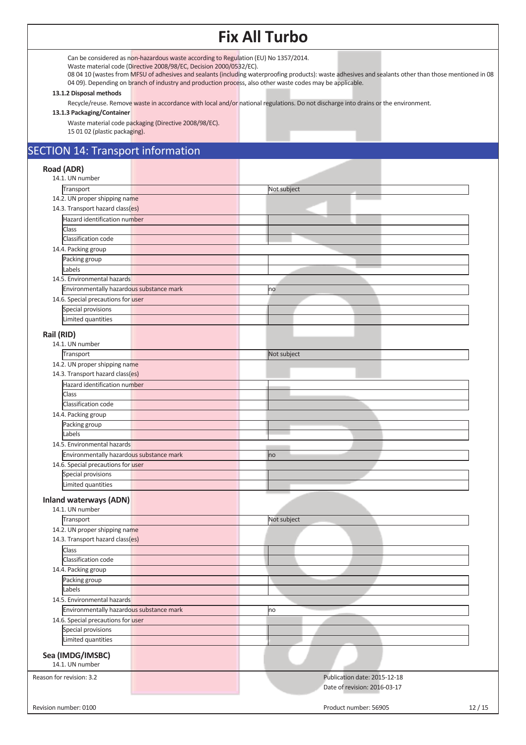Can be considered as non-hazardous waste according to Regulation (EU) No 1357/2014.

Waste material code (Directive 2008/98/EC, Decision 2000/0532/EC).

08 04 10 (wastes from MFSU of adhesives and sealants (including waterproofing products): waste adhesives and sealants other than those mentioned in 08 04 09). Depending on branch of industry and production process, also other waste codes may be applicable.

#### **13.1.2 Disposal methods**

Recycle/reuse. Remove waste in accordance with local and/or national regulations. Do not discharge into drains or the environment.

#### **13.1.3 Packaging/Container**

Waste material code packaging (Directive 2008/98/EC).

15 01 02 (plastic packaging).

## SECTION 14: Transport information

## **Road (ADR)**

| Not subject<br>Transport<br>14.2. UN proper shipping name<br>14.3. Transport hazard class(es)<br>Hazard identification number<br>Class<br>Classification code<br>14.4. Packing group<br>Packing group<br>Labels<br>14.5. Environmental hazards<br>Environmentally hazardous substance mark<br>no<br>14.6. Special precautions for user<br>Special provisions<br>Limited quantities<br>Rail (RID)<br>14.1. UN number<br>Transport<br>Not subject<br>14.2. UN proper shipping name<br>14.3. Transport hazard class(es)<br>Hazard identification number<br>Class<br>Classification code<br>14.4. Packing group<br>Packing group<br>Labels<br>14.5. Environmental hazards<br>Environmentally hazardous substance mark<br>no<br>14.6. Special precautions for user<br><b>Special provisions</b><br>Limited quantities<br><b>Inland waterways (ADN)</b><br>14.1. UN number<br>Transport<br>Not subject<br>14.2. UN proper shipping name<br>14.3. Transport hazard class(es)<br>Class<br>Classification code<br>14.4. Packing group<br>Packing group<br>Labels<br>14.5. Environmental hazards<br>Environmentally hazardous substance mark<br>no<br>14.6. Special precautions for user<br>Special provisions<br>Limited quantities<br>Sea (IMDG/IMSBC)<br>14.1. UN number<br>Reason for revision: 3.2<br>Publication date: 2015-12-18<br>Date of revision: 2016-03-17 | Road (ADR)<br>14.1. UN number |  |
|---------------------------------------------------------------------------------------------------------------------------------------------------------------------------------------------------------------------------------------------------------------------------------------------------------------------------------------------------------------------------------------------------------------------------------------------------------------------------------------------------------------------------------------------------------------------------------------------------------------------------------------------------------------------------------------------------------------------------------------------------------------------------------------------------------------------------------------------------------------------------------------------------------------------------------------------------------------------------------------------------------------------------------------------------------------------------------------------------------------------------------------------------------------------------------------------------------------------------------------------------------------------------------------------------------------------------------------------------------------|-------------------------------|--|
|                                                                                                                                                                                                                                                                                                                                                                                                                                                                                                                                                                                                                                                                                                                                                                                                                                                                                                                                                                                                                                                                                                                                                                                                                                                                                                                                                               |                               |  |
|                                                                                                                                                                                                                                                                                                                                                                                                                                                                                                                                                                                                                                                                                                                                                                                                                                                                                                                                                                                                                                                                                                                                                                                                                                                                                                                                                               |                               |  |
|                                                                                                                                                                                                                                                                                                                                                                                                                                                                                                                                                                                                                                                                                                                                                                                                                                                                                                                                                                                                                                                                                                                                                                                                                                                                                                                                                               |                               |  |
|                                                                                                                                                                                                                                                                                                                                                                                                                                                                                                                                                                                                                                                                                                                                                                                                                                                                                                                                                                                                                                                                                                                                                                                                                                                                                                                                                               |                               |  |
|                                                                                                                                                                                                                                                                                                                                                                                                                                                                                                                                                                                                                                                                                                                                                                                                                                                                                                                                                                                                                                                                                                                                                                                                                                                                                                                                                               |                               |  |
|                                                                                                                                                                                                                                                                                                                                                                                                                                                                                                                                                                                                                                                                                                                                                                                                                                                                                                                                                                                                                                                                                                                                                                                                                                                                                                                                                               |                               |  |
|                                                                                                                                                                                                                                                                                                                                                                                                                                                                                                                                                                                                                                                                                                                                                                                                                                                                                                                                                                                                                                                                                                                                                                                                                                                                                                                                                               |                               |  |
|                                                                                                                                                                                                                                                                                                                                                                                                                                                                                                                                                                                                                                                                                                                                                                                                                                                                                                                                                                                                                                                                                                                                                                                                                                                                                                                                                               |                               |  |
|                                                                                                                                                                                                                                                                                                                                                                                                                                                                                                                                                                                                                                                                                                                                                                                                                                                                                                                                                                                                                                                                                                                                                                                                                                                                                                                                                               |                               |  |
|                                                                                                                                                                                                                                                                                                                                                                                                                                                                                                                                                                                                                                                                                                                                                                                                                                                                                                                                                                                                                                                                                                                                                                                                                                                                                                                                                               |                               |  |
|                                                                                                                                                                                                                                                                                                                                                                                                                                                                                                                                                                                                                                                                                                                                                                                                                                                                                                                                                                                                                                                                                                                                                                                                                                                                                                                                                               |                               |  |
|                                                                                                                                                                                                                                                                                                                                                                                                                                                                                                                                                                                                                                                                                                                                                                                                                                                                                                                                                                                                                                                                                                                                                                                                                                                                                                                                                               |                               |  |
|                                                                                                                                                                                                                                                                                                                                                                                                                                                                                                                                                                                                                                                                                                                                                                                                                                                                                                                                                                                                                                                                                                                                                                                                                                                                                                                                                               |                               |  |
|                                                                                                                                                                                                                                                                                                                                                                                                                                                                                                                                                                                                                                                                                                                                                                                                                                                                                                                                                                                                                                                                                                                                                                                                                                                                                                                                                               |                               |  |
|                                                                                                                                                                                                                                                                                                                                                                                                                                                                                                                                                                                                                                                                                                                                                                                                                                                                                                                                                                                                                                                                                                                                                                                                                                                                                                                                                               |                               |  |
|                                                                                                                                                                                                                                                                                                                                                                                                                                                                                                                                                                                                                                                                                                                                                                                                                                                                                                                                                                                                                                                                                                                                                                                                                                                                                                                                                               |                               |  |
|                                                                                                                                                                                                                                                                                                                                                                                                                                                                                                                                                                                                                                                                                                                                                                                                                                                                                                                                                                                                                                                                                                                                                                                                                                                                                                                                                               |                               |  |
|                                                                                                                                                                                                                                                                                                                                                                                                                                                                                                                                                                                                                                                                                                                                                                                                                                                                                                                                                                                                                                                                                                                                                                                                                                                                                                                                                               |                               |  |
|                                                                                                                                                                                                                                                                                                                                                                                                                                                                                                                                                                                                                                                                                                                                                                                                                                                                                                                                                                                                                                                                                                                                                                                                                                                                                                                                                               |                               |  |
|                                                                                                                                                                                                                                                                                                                                                                                                                                                                                                                                                                                                                                                                                                                                                                                                                                                                                                                                                                                                                                                                                                                                                                                                                                                                                                                                                               |                               |  |
|                                                                                                                                                                                                                                                                                                                                                                                                                                                                                                                                                                                                                                                                                                                                                                                                                                                                                                                                                                                                                                                                                                                                                                                                                                                                                                                                                               |                               |  |
|                                                                                                                                                                                                                                                                                                                                                                                                                                                                                                                                                                                                                                                                                                                                                                                                                                                                                                                                                                                                                                                                                                                                                                                                                                                                                                                                                               |                               |  |
|                                                                                                                                                                                                                                                                                                                                                                                                                                                                                                                                                                                                                                                                                                                                                                                                                                                                                                                                                                                                                                                                                                                                                                                                                                                                                                                                                               |                               |  |
|                                                                                                                                                                                                                                                                                                                                                                                                                                                                                                                                                                                                                                                                                                                                                                                                                                                                                                                                                                                                                                                                                                                                                                                                                                                                                                                                                               |                               |  |
|                                                                                                                                                                                                                                                                                                                                                                                                                                                                                                                                                                                                                                                                                                                                                                                                                                                                                                                                                                                                                                                                                                                                                                                                                                                                                                                                                               |                               |  |
|                                                                                                                                                                                                                                                                                                                                                                                                                                                                                                                                                                                                                                                                                                                                                                                                                                                                                                                                                                                                                                                                                                                                                                                                                                                                                                                                                               |                               |  |
|                                                                                                                                                                                                                                                                                                                                                                                                                                                                                                                                                                                                                                                                                                                                                                                                                                                                                                                                                                                                                                                                                                                                                                                                                                                                                                                                                               |                               |  |
|                                                                                                                                                                                                                                                                                                                                                                                                                                                                                                                                                                                                                                                                                                                                                                                                                                                                                                                                                                                                                                                                                                                                                                                                                                                                                                                                                               |                               |  |
|                                                                                                                                                                                                                                                                                                                                                                                                                                                                                                                                                                                                                                                                                                                                                                                                                                                                                                                                                                                                                                                                                                                                                                                                                                                                                                                                                               |                               |  |
|                                                                                                                                                                                                                                                                                                                                                                                                                                                                                                                                                                                                                                                                                                                                                                                                                                                                                                                                                                                                                                                                                                                                                                                                                                                                                                                                                               |                               |  |
|                                                                                                                                                                                                                                                                                                                                                                                                                                                                                                                                                                                                                                                                                                                                                                                                                                                                                                                                                                                                                                                                                                                                                                                                                                                                                                                                                               |                               |  |
|                                                                                                                                                                                                                                                                                                                                                                                                                                                                                                                                                                                                                                                                                                                                                                                                                                                                                                                                                                                                                                                                                                                                                                                                                                                                                                                                                               |                               |  |
|                                                                                                                                                                                                                                                                                                                                                                                                                                                                                                                                                                                                                                                                                                                                                                                                                                                                                                                                                                                                                                                                                                                                                                                                                                                                                                                                                               |                               |  |
|                                                                                                                                                                                                                                                                                                                                                                                                                                                                                                                                                                                                                                                                                                                                                                                                                                                                                                                                                                                                                                                                                                                                                                                                                                                                                                                                                               |                               |  |
|                                                                                                                                                                                                                                                                                                                                                                                                                                                                                                                                                                                                                                                                                                                                                                                                                                                                                                                                                                                                                                                                                                                                                                                                                                                                                                                                                               |                               |  |
|                                                                                                                                                                                                                                                                                                                                                                                                                                                                                                                                                                                                                                                                                                                                                                                                                                                                                                                                                                                                                                                                                                                                                                                                                                                                                                                                                               |                               |  |
|                                                                                                                                                                                                                                                                                                                                                                                                                                                                                                                                                                                                                                                                                                                                                                                                                                                                                                                                                                                                                                                                                                                                                                                                                                                                                                                                                               |                               |  |
|                                                                                                                                                                                                                                                                                                                                                                                                                                                                                                                                                                                                                                                                                                                                                                                                                                                                                                                                                                                                                                                                                                                                                                                                                                                                                                                                                               |                               |  |
|                                                                                                                                                                                                                                                                                                                                                                                                                                                                                                                                                                                                                                                                                                                                                                                                                                                                                                                                                                                                                                                                                                                                                                                                                                                                                                                                                               |                               |  |
|                                                                                                                                                                                                                                                                                                                                                                                                                                                                                                                                                                                                                                                                                                                                                                                                                                                                                                                                                                                                                                                                                                                                                                                                                                                                                                                                                               |                               |  |
|                                                                                                                                                                                                                                                                                                                                                                                                                                                                                                                                                                                                                                                                                                                                                                                                                                                                                                                                                                                                                                                                                                                                                                                                                                                                                                                                                               |                               |  |
|                                                                                                                                                                                                                                                                                                                                                                                                                                                                                                                                                                                                                                                                                                                                                                                                                                                                                                                                                                                                                                                                                                                                                                                                                                                                                                                                                               |                               |  |
|                                                                                                                                                                                                                                                                                                                                                                                                                                                                                                                                                                                                                                                                                                                                                                                                                                                                                                                                                                                                                                                                                                                                                                                                                                                                                                                                                               |                               |  |
|                                                                                                                                                                                                                                                                                                                                                                                                                                                                                                                                                                                                                                                                                                                                                                                                                                                                                                                                                                                                                                                                                                                                                                                                                                                                                                                                                               |                               |  |
|                                                                                                                                                                                                                                                                                                                                                                                                                                                                                                                                                                                                                                                                                                                                                                                                                                                                                                                                                                                                                                                                                                                                                                                                                                                                                                                                                               |                               |  |
|                                                                                                                                                                                                                                                                                                                                                                                                                                                                                                                                                                                                                                                                                                                                                                                                                                                                                                                                                                                                                                                                                                                                                                                                                                                                                                                                                               |                               |  |
|                                                                                                                                                                                                                                                                                                                                                                                                                                                                                                                                                                                                                                                                                                                                                                                                                                                                                                                                                                                                                                                                                                                                                                                                                                                                                                                                                               |                               |  |
|                                                                                                                                                                                                                                                                                                                                                                                                                                                                                                                                                                                                                                                                                                                                                                                                                                                                                                                                                                                                                                                                                                                                                                                                                                                                                                                                                               |                               |  |
|                                                                                                                                                                                                                                                                                                                                                                                                                                                                                                                                                                                                                                                                                                                                                                                                                                                                                                                                                                                                                                                                                                                                                                                                                                                                                                                                                               |                               |  |
|                                                                                                                                                                                                                                                                                                                                                                                                                                                                                                                                                                                                                                                                                                                                                                                                                                                                                                                                                                                                                                                                                                                                                                                                                                                                                                                                                               |                               |  |
| Product number: 56905<br>12/15<br>Revision number: 0100                                                                                                                                                                                                                                                                                                                                                                                                                                                                                                                                                                                                                                                                                                                                                                                                                                                                                                                                                                                                                                                                                                                                                                                                                                                                                                       |                               |  |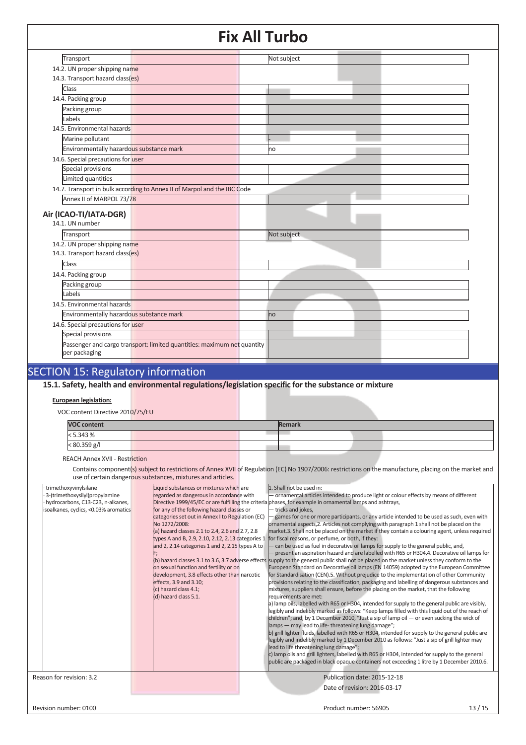| Transport                                                         |                                                                          | Not subject |  |
|-------------------------------------------------------------------|--------------------------------------------------------------------------|-------------|--|
| 14.2. UN proper shipping name                                     |                                                                          |             |  |
| 14.3. Transport hazard class(es)                                  |                                                                          |             |  |
| Class                                                             |                                                                          |             |  |
| 14.4. Packing group                                               |                                                                          |             |  |
| Packing group                                                     |                                                                          |             |  |
| Labels                                                            |                                                                          |             |  |
| 14.5. Environmental hazards                                       |                                                                          |             |  |
| Marine pollutant                                                  |                                                                          |             |  |
| Environmentally hazardous substance mark                          |                                                                          | lno         |  |
| 14.6. Special precautions for user                                |                                                                          |             |  |
| Special provisions                                                |                                                                          |             |  |
| Limited quantities                                                |                                                                          |             |  |
|                                                                   | 14.7. Transport in bulk according to Annex II of Marpol and the IBC Code |             |  |
| Annex II of MARPOL 73/78                                          |                                                                          |             |  |
|                                                                   |                                                                          |             |  |
| Air (ICAO-TI/IATA-DGR)<br>14.1. UN number                         |                                                                          |             |  |
|                                                                   |                                                                          |             |  |
| Transport                                                         |                                                                          | Not subject |  |
| 14.2. UN proper shipping name<br>14.3. Transport hazard class(es) |                                                                          |             |  |
|                                                                   |                                                                          |             |  |
| Class                                                             |                                                                          |             |  |
| 14.4. Packing group                                               |                                                                          |             |  |
| Packing group                                                     |                                                                          |             |  |
| Labels                                                            |                                                                          |             |  |
| 14.5. Environmental hazards                                       |                                                                          |             |  |
| Environmentally hazardous substance mark                          |                                                                          | no          |  |
| 14.6. Special precautions for user                                |                                                                          |             |  |
| Special provisions                                                |                                                                          |             |  |
|                                                                   | Passenger and cargo transport: limited quantities: maximum net quantity  |             |  |
| per packaging                                                     |                                                                          |             |  |
|                                                                   |                                                                          |             |  |

## SECTION 15: Regulatory information

**15.1. Safety, health and environmental regulations/legislation specific for the substance or mixture**

### **European legislation:**

VOC content Directive 2010/75/EU

| <b>VOC content</b> |  |  | Remark |  |  |
|--------------------|--|--|--------|--|--|
| < 5.343 %          |  |  |        |  |  |
| < 80.359 g/l       |  |  |        |  |  |
|                    |  |  |        |  |  |

REACH Annex XVII - Restriction

Contains component(s) subject to restrictions of Annex XVII of Regulation (EC) No 1907/2006: restrictions on the manufacture, placing on the market and use of certain dangerous substances, mixtures and articles.

|                                                                                                                                       | asc or certain dangerous substances, mixtures and articles.                                                                                                                                                                                                                                                                                                                                                                                                                                                                             |                                                                                                                                                                                                                                                                                                                                                                                                                                                                                                                                                                                                                                                                                                                                                                                                                                                                                                                                                                                                                                                                                                                                                                                                                                                                                                                                                                                                                                                                                                                                                                                                                                                                                                                                                                                                                                                                                                                                                                                                                                                                                                                                                                       |       |
|---------------------------------------------------------------------------------------------------------------------------------------|-----------------------------------------------------------------------------------------------------------------------------------------------------------------------------------------------------------------------------------------------------------------------------------------------------------------------------------------------------------------------------------------------------------------------------------------------------------------------------------------------------------------------------------------|-----------------------------------------------------------------------------------------------------------------------------------------------------------------------------------------------------------------------------------------------------------------------------------------------------------------------------------------------------------------------------------------------------------------------------------------------------------------------------------------------------------------------------------------------------------------------------------------------------------------------------------------------------------------------------------------------------------------------------------------------------------------------------------------------------------------------------------------------------------------------------------------------------------------------------------------------------------------------------------------------------------------------------------------------------------------------------------------------------------------------------------------------------------------------------------------------------------------------------------------------------------------------------------------------------------------------------------------------------------------------------------------------------------------------------------------------------------------------------------------------------------------------------------------------------------------------------------------------------------------------------------------------------------------------------------------------------------------------------------------------------------------------------------------------------------------------------------------------------------------------------------------------------------------------------------------------------------------------------------------------------------------------------------------------------------------------------------------------------------------------------------------------------------------------|-------|
| trimethoxyvinylsilane<br>3-(trimethoxysilyl)propylamine<br>hydrocarbons, C13-C23, n-alkanes,<br>isoalkanes, cyclics, <0.03% aromatics | Liquid substances or mixtures which are<br>regarded as dangerous in accordance with<br>for any of the following hazard classes or<br>categories set out in Annex I to Regulation (EC)<br>No 1272/2008:<br>(a) hazard classes 2.1 to 2.4, 2.6 and 2.7, 2.8<br>types A and B, 2.9, 2.10, 2.12, 2.13 categories 1<br>and 2, 2.14 categories 1 and 2, 2.15 types A to<br>on sexual function and fertility or on<br>development, 3.8 effects other than narcotic<br>effects, 3.9 and 3.10;<br>(c) hazard class 4.1;<br>(d) hazard class 5.1. | 1. Shall not be used in:<br>- ornamental articles intended to produce light or colour effects by means of different<br>Directive 1999/45/EC or are fulfilling the criteria phases, for example in ornamental lamps and ashtrays,<br>- tricks and jokes,<br>games for one or more participants, or any article intended to be used as such, even with<br>ornamental aspects, 2. Articles not complying with paragraph 1 shall not be placed on the<br>market.3. Shall not be placed on the market if they contain a colouring agent, unless required<br>for fiscal reasons, or perfume, or both, if they:<br>- can be used as fuel in decorative oil lamps for supply to the general public, and,<br>- present an aspiration hazard and are labelled with R65 or H304,4. Decorative oil lamps for<br>(b) hazard classes 3.1 to 3.6, 3.7 adverse effects supply to the general public shall not be placed on the market unless they conform to the<br>European Standard on Decorative oil lamps (EN 14059) adopted by the European Committee<br>for Standardisation (CEN).5. Without prejudice to the implementation of other Community<br>provisions relating to the classification, packaging and labelling of dangerous substances and<br>mixtures, suppliers shall ensure, before the placing on the market, that the following<br>requirements are met:<br>a) lamp oils, labelled with R65 or H304, intended for supply to the general public are visibly,<br>legibly and indelibly marked as follows: "Keep lamps filled with this liquid out of the reach of<br>children"; and, by 1 December 2010, "Just a sip of lamp oil $-$ or even sucking the wick of<br>lamps - may lead to life-threatening lung damage";<br>b) grill lighter fluids, labelled with R65 or H304, intended for supply to the general public are<br>legibly and indelibly marked by 1 December 2010 as follows: "Just a sip of grill lighter may<br>lead to life threatening lung damage";<br>c) lamp oils and grill lighters, labelled with R65 or H304, intended for supply to the general<br>public are packaged in black opaque containers not exceeding 1 litre by 1 December 2010.6. |       |
| Reason for revision: 3.2                                                                                                              |                                                                                                                                                                                                                                                                                                                                                                                                                                                                                                                                         | Publication date: 2015-12-18<br>Date of revision: 2016-03-17                                                                                                                                                                                                                                                                                                                                                                                                                                                                                                                                                                                                                                                                                                                                                                                                                                                                                                                                                                                                                                                                                                                                                                                                                                                                                                                                                                                                                                                                                                                                                                                                                                                                                                                                                                                                                                                                                                                                                                                                                                                                                                          |       |
| Revision number: 0100                                                                                                                 |                                                                                                                                                                                                                                                                                                                                                                                                                                                                                                                                         | Product number: 56905                                                                                                                                                                                                                                                                                                                                                                                                                                                                                                                                                                                                                                                                                                                                                                                                                                                                                                                                                                                                                                                                                                                                                                                                                                                                                                                                                                                                                                                                                                                                                                                                                                                                                                                                                                                                                                                                                                                                                                                                                                                                                                                                                 | 13/15 |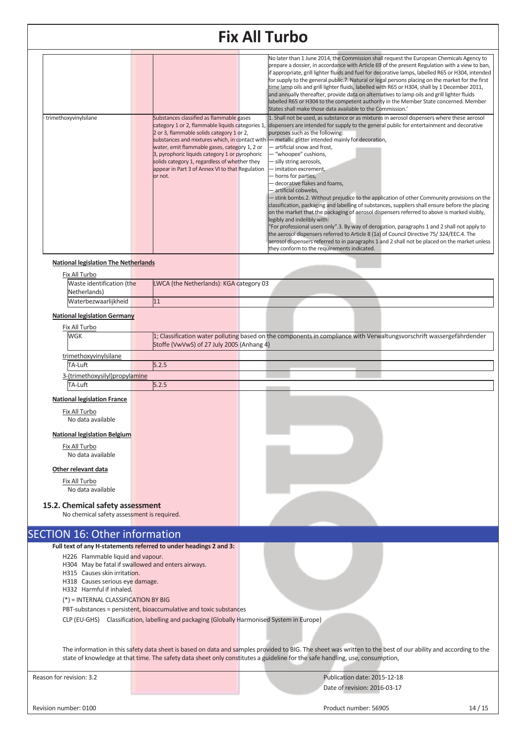| trimethoxyvinylsilane                       | Substances classified as flammable gases                                                                                                                                                                                                                                                                      | No later than 1 June 2014, the Commission shall request the European Chemicals Agency to<br>prepare a dossier, in accordance with Article 69 of the present Regulation with a view to ban,<br>if appropriate, grill lighter fluids and fuel for decorative lamps, labelled R65 or H304, intended<br>for supply to the general public.7. Natural or legal persons placing on the market for the first<br>time lamp oils and grill lighter fluids, labelled with R65 or H304, shall by 1 December 2011,<br>and annually thereafter, provide data on alternatives to lamp oils and grill lighter fluids<br>labelled R65 or H304 to the competent authority in the Member State concerned. Member<br>States shall make those data available to the Commission.'<br>1. Shall not be used, as substance or as mixtures in aerosol dispensers where these aerosol                                                                                                                                                                                                                                                        |
|---------------------------------------------|---------------------------------------------------------------------------------------------------------------------------------------------------------------------------------------------------------------------------------------------------------------------------------------------------------------|-------------------------------------------------------------------------------------------------------------------------------------------------------------------------------------------------------------------------------------------------------------------------------------------------------------------------------------------------------------------------------------------------------------------------------------------------------------------------------------------------------------------------------------------------------------------------------------------------------------------------------------------------------------------------------------------------------------------------------------------------------------------------------------------------------------------------------------------------------------------------------------------------------------------------------------------------------------------------------------------------------------------------------------------------------------------------------------------------------------------|
|                                             | 2 or 3, flammable solids category 1 or 2,<br>substances and mixtures which, in contact with<br>water, emit flammable gases, category 1, 2 or<br>3, pyrophoric liquids category 1 or pyrophoric<br>solids category 1, regardless of whether they<br>appear in Part 3 of Annex VI to that Regulation<br>or not. | category 1 or 2, flammable liquids categories 1, dispensers are intended for supply to the general public for entertainment and decorative<br>purposes such as the following:<br>- metallic glitter intended mainly for decoration,<br>- artificial snow and frost.<br>- "whoopee" cushions,<br>- silly string aerosols,<br>- imitation excrement.<br>- horns for parties,<br>- decorative flakes and foams.<br>- artificial cobwebs,<br>- stink bombs.2. Without prejudice to the application of other Community provisions on the<br>classification, packaging and labelling of substances, suppliers shall ensure before the placing<br>on the market that the packaging of aerosol dispensers referred to above is marked visibly,<br>legibly and indelibly with:<br>"For professional users only".3. By way of derogation, paragraphs 1 and 2 shall not apply to<br>the aerosol dispensers referred to Article 8 (1a) of Council Directive 75/324/EEC.4. The<br>aerosol dispensers referred to in paragraphs 1 and 2 shall not be placed on the market unless<br>they conform to the requirements indicated. |
| <b>National legislation The Netherlands</b> |                                                                                                                                                                                                                                                                                                               |                                                                                                                                                                                                                                                                                                                                                                                                                                                                                                                                                                                                                                                                                                                                                                                                                                                                                                                                                                                                                                                                                                                   |
| Fix All Turbo                               |                                                                                                                                                                                                                                                                                                               |                                                                                                                                                                                                                                                                                                                                                                                                                                                                                                                                                                                                                                                                                                                                                                                                                                                                                                                                                                                                                                                                                                                   |
| Waste identification (the                   | LWCA (the Netherlands): KGA category 03                                                                                                                                                                                                                                                                       |                                                                                                                                                                                                                                                                                                                                                                                                                                                                                                                                                                                                                                                                                                                                                                                                                                                                                                                                                                                                                                                                                                                   |

### **National legislation Germany**

Waterbezwaarlijkheid 11

Netherlands)

| Fix All Turbo                  |                                           |  |  |                                                                                                                       |
|--------------------------------|-------------------------------------------|--|--|-----------------------------------------------------------------------------------------------------------------------|
| <b>WGK</b>                     |                                           |  |  | 1; Classification water polluting based on the components in compliance with Verwaltungsvorschrift wassergefährdender |
|                                | Stoffe (VwVwS) of 27 July 2005 (Anhang 4) |  |  |                                                                                                                       |
| trimethoxyvinylsilane          |                                           |  |  |                                                                                                                       |
| TA-Luft                        | 5.2.5                                     |  |  |                                                                                                                       |
| 3-(trimethoxysilyl)propylamine |                                           |  |  |                                                                                                                       |
| TA-Luft                        |                                           |  |  |                                                                                                                       |
|                                |                                           |  |  |                                                                                                                       |

#### **National legislation France**

| Fix All Turbo<br>No data available                              |                                                                   |  |  |  |
|-----------------------------------------------------------------|-------------------------------------------------------------------|--|--|--|
| <b>National legislation Belgium</b><br>Fix All Turbo            |                                                                   |  |  |  |
| No data available<br>Other relevant data<br>Fix All Turbo       |                                                                   |  |  |  |
| No data available<br>15.2. Chemical safety assessment           |                                                                   |  |  |  |
| No chemical safety assessment is required.                      |                                                                   |  |  |  |
| <b>SECTION 16: Other information</b>                            |                                                                   |  |  |  |
|                                                                 | Full text of any H-statements referred to under headings 2 and 3: |  |  |  |
| H226 Flammable liquid and vapour.                               |                                                                   |  |  |  |
| H315 Causes skin irritation.<br>H318 Causes serious eye damage. | H304 May be fatal if swallowed and enters airways.                |  |  |  |
|                                                                 |                                                                   |  |  |  |

H332 Harmful if inhaled.

(\*) = INTERNAL CLASSIFICATION BY BIG

PBT-substances = persistent, bioaccumulative and toxic substances

CLP (EU-GHS) Classification, labelling and packaging (Globally Harmonised System in Europe)

The information in this safety data sheet is based on data and samples provided to BIG. The sheet was written to the best of our ability and according to the state of knowledge at that time. The safety data sheet only constitutes a guideline for the safe handling, use, consumption,

Reason for revision: 3.2 Publication date: 2015-12-18 Date of revision: 2016-03-17

Revision number: 0100 14 / 15